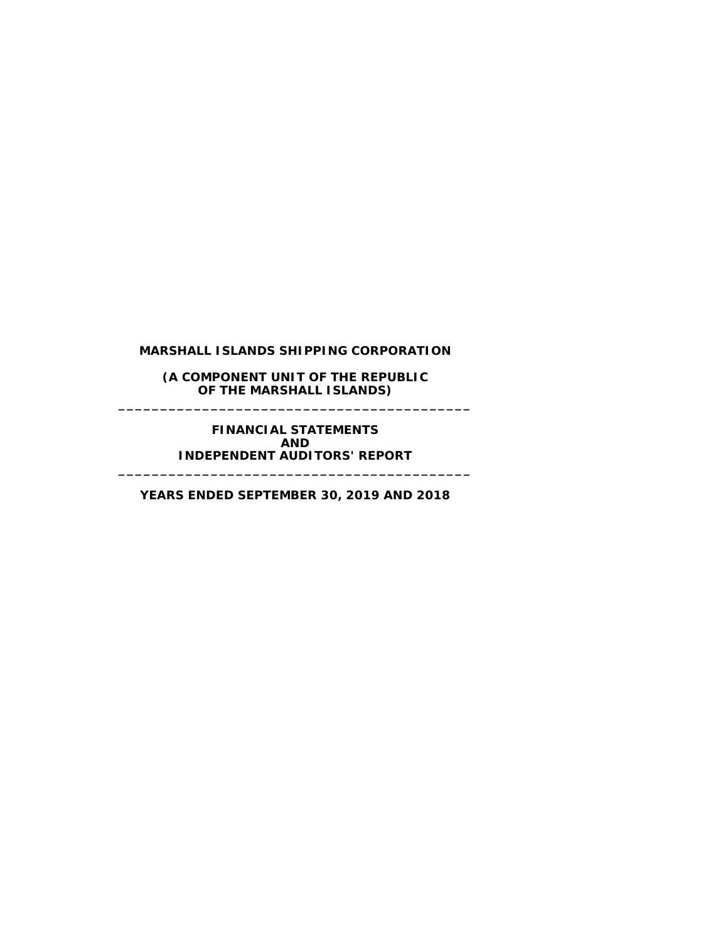#### **(A COMPONENT UNIT OF THE REPUBLIC OF THE MARSHALL ISLANDS) \_\_\_\_\_\_\_\_\_\_\_\_\_\_\_\_\_\_\_\_\_\_\_\_\_\_\_\_\_\_\_\_\_\_\_\_\_\_\_\_\_\_**

**FINANCIAL STATEMENTS AND INDEPENDENT AUDITORS' REPORT**

**YEARS ENDED SEPTEMBER 30, 2019 AND 2018**

**\_\_\_\_\_\_\_\_\_\_\_\_\_\_\_\_\_\_\_\_\_\_\_\_\_\_\_\_\_\_\_\_\_\_\_\_\_\_\_\_\_\_**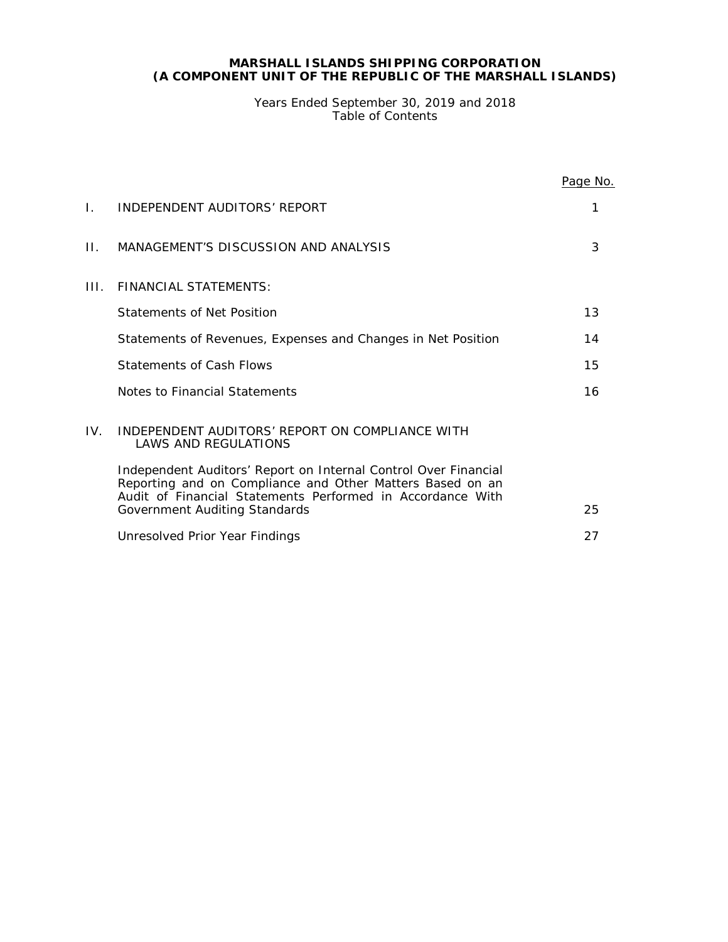#### **MARSHALL ISLANDS SHIPPING CORPORATION (A COMPONENT UNIT OF THE REPUBLIC OF THE MARSHALL ISLANDS)**

Years Ended September 30, 2019 and 2018 Table of Contents

|     |                                                                                                                                                                                            | Page No. |
|-----|--------------------------------------------------------------------------------------------------------------------------------------------------------------------------------------------|----------|
| L.  | INDEPENDENT AUDITORS' REPORT                                                                                                                                                               | 1        |
| П.  | MANAGEMENT'S DISCUSSION AND ANALYSIS                                                                                                                                                       | 3        |
| Ш÷  | FINANCIAL STATEMENTS:                                                                                                                                                                      |          |
|     | Statements of Net Position                                                                                                                                                                 | 13       |
|     | Statements of Revenues, Expenses and Changes in Net Position                                                                                                                               | 14       |
|     | <b>Statements of Cash Flows</b>                                                                                                                                                            | 15       |
|     | Notes to Financial Statements                                                                                                                                                              | 16       |
| IV. | INDEPENDENT AUDITORS' REPORT ON COMPLIANCE WITH<br><b>LAWS AND REGULATIONS</b>                                                                                                             |          |
|     | Independent Auditors' Report on Internal Control Over Financial<br>Reporting and on Compliance and Other Matters Based on an<br>Audit of Financial Statements Performed in Accordance With |          |
|     | Government Auditing Standards                                                                                                                                                              | 25       |
|     | Unresolved Prior Year Findings                                                                                                                                                             | 27       |
|     |                                                                                                                                                                                            |          |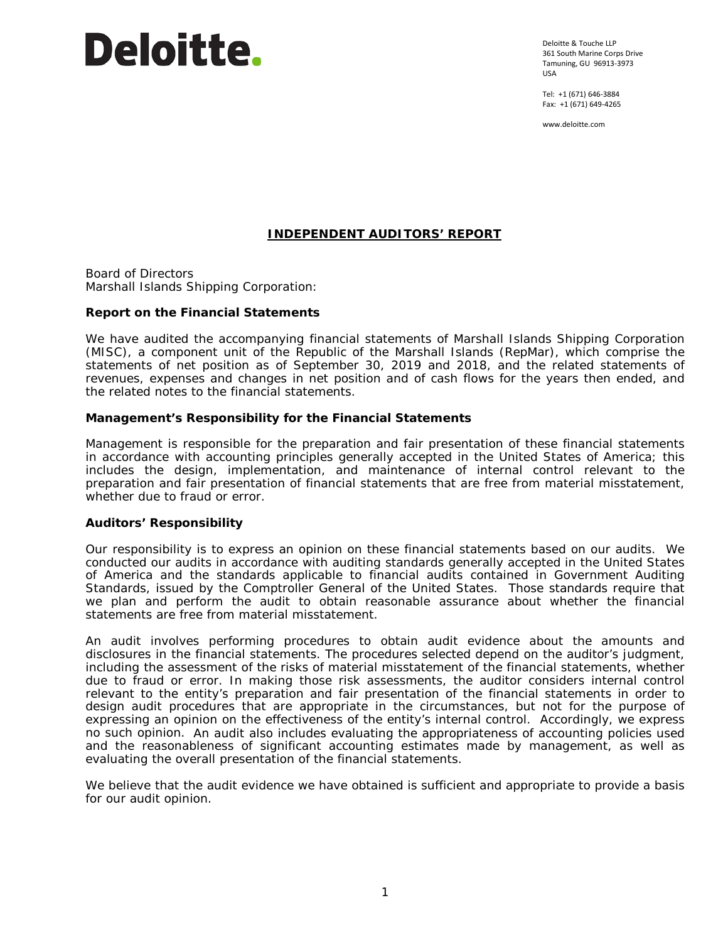# Deloitte.

Deloitte & Touche LLP 361 South Marine Corps Drive Tamuning, GU 96913-3973 USA

Tel: +1 (671) 646-3884 Fax: +1 (671) 649-4265

www.deloitte.com

#### **INDEPENDENT AUDITORS' REPORT**

Board of Directors Marshall Islands Shipping Corporation:

#### **Report on the Financial Statements**

We have audited the accompanying financial statements of Marshall Islands Shipping Corporation (MISC), a component unit of the Republic of the Marshall Islands (RepMar), which comprise the statements of net position as of September 30, 2019 and 2018, and the related statements of revenues, expenses and changes in net position and of cash flows for the years then ended, and the related notes to the financial statements.

#### *Management's Responsibility for the Financial Statements*

Management is responsible for the preparation and fair presentation of these financial statements in accordance with accounting principles generally accepted in the United States of America; this includes the design, implementation, and maintenance of internal control relevant to the preparation and fair presentation of financial statements that are free from material misstatement, whether due to fraud or error.

#### *Auditors' Responsibility*

Our responsibility is to express an opinion on these financial statements based on our audits. We conducted our audits in accordance with auditing standards generally accepted in the United States of America and the standards applicable to financial audits contained in *Government Auditing Standards,* issued by the Comptroller General of the United States. Those standards require that we plan and perform the audit to obtain reasonable assurance about whether the financial statements are free from material misstatement.

An audit involves performing procedures to obtain audit evidence about the amounts and disclosures in the financial statements. The procedures selected depend on the auditor's judgment, including the assessment of the risks of material misstatement of the financial statements, whether due to fraud or error. In making those risk assessments, the auditor considers internal control relevant to the entity's preparation and fair presentation of the financial statements in order to design audit procedures that are appropriate in the circumstances, but not for the purpose of expressing an opinion on the effectiveness of the entity's internal control. Accordingly, we express no such opinion. An audit also includes evaluating the appropriateness of accounting policies used and the reasonableness of significant accounting estimates made by management, as well as evaluating the overall presentation of the financial statements.

We believe that the audit evidence we have obtained is sufficient and appropriate to provide a basis for our audit opinion.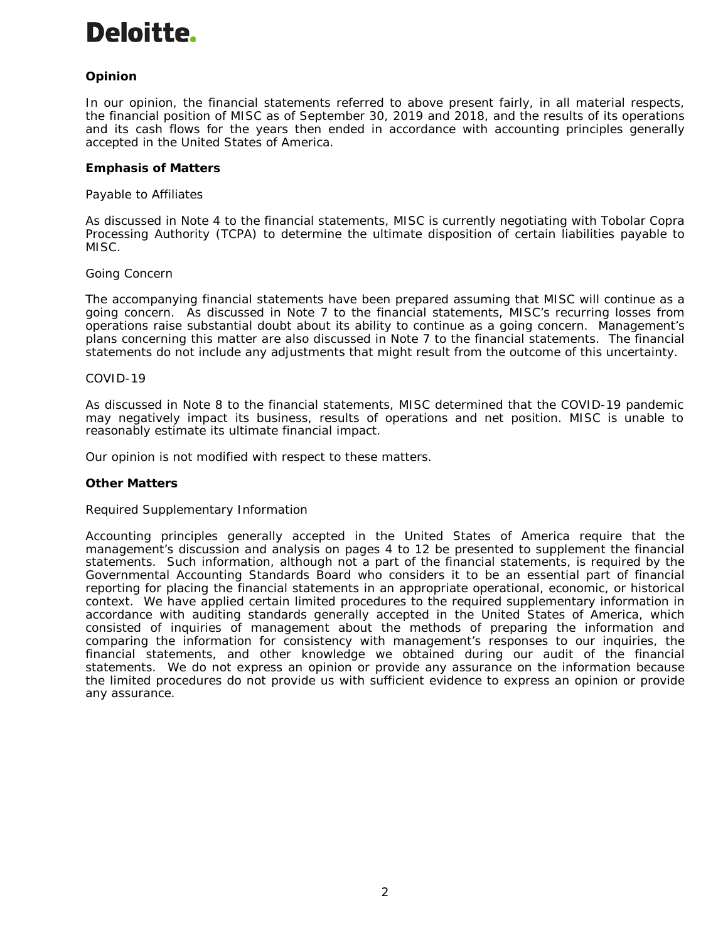## Deloitte.

#### *Opinion*

In our opinion, the financial statements referred to above present fairly, in all material respects, the financial position of MISC as of September 30, 2019 and 2018, and the results of its operations and its cash flows for the years then ended in accordance with accounting principles generally accepted in the United States of America.

#### *Emphasis of Matters*

#### *Payable to Affiliates*

As discussed in Note 4 to the financial statements, MISC is currently negotiating with Tobolar Copra Processing Authority (TCPA) to determine the ultimate disposition of certain liabilities payable to MISC.

#### *Going Concern*

The accompanying financial statements have been prepared assuming that MISC will continue as a going concern. As discussed in Note 7 to the financial statements, MISC's recurring losses from operations raise substantial doubt about its ability to continue as a going concern. Management's plans concerning this matter are also discussed in Note 7 to the financial statements. The financial statements do not include any adjustments that might result from the outcome of this uncertainty.

#### *COVID-19*

As discussed in Note 8 to the financial statements, MISC determined that the COVID-19 pandemic may negatively impact its business, results of operations and net position. MISC is unable to reasonably estimate its ultimate financial impact.

Our opinion is not modified with respect to these matters.

#### *Other Matters*

#### *Required Supplementary Information*

Accounting principles generally accepted in the United States of America require that the management's discussion and analysis on pages 4 to 12 be presented to supplement the financial statements. Such information, although not a part of the financial statements, is required by the Governmental Accounting Standards Board who considers it to be an essential part of financial reporting for placing the financial statements in an appropriate operational, economic, or historical context. We have applied certain limited procedures to the required supplementary information in accordance with auditing standards generally accepted in the United States of America, which consisted of inquiries of management about the methods of preparing the information and comparing the information for consistency with management's responses to our inquiries, the financial statements, and other knowledge we obtained during our audit of the financial statements. We do not express an opinion or provide any assurance on the information because the limited procedures do not provide us with sufficient evidence to express an opinion or provide any assurance.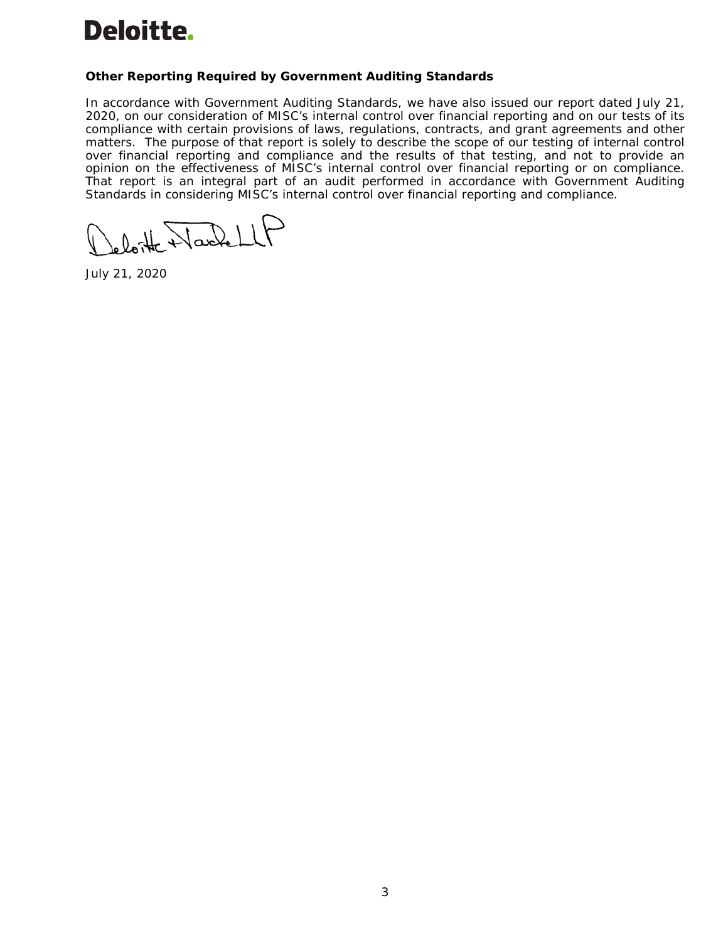

#### **Other Reporting Required by** *Government Auditing Standards*

In accordance with *Government Auditing Standards*, we have also issued our report dated July 21, 2020, on our consideration of MISC's internal control over financial reporting and on our tests of its compliance with certain provisions of laws, regulations, contracts, and grant agreements and other matters. The purpose of that report is solely to describe the scope of our testing of internal control over financial reporting and compliance and the results of that testing, and not to provide an opinion on the effectiveness of MISC's internal control over financial reporting or on compliance. That report is an integral part of an audit performed in accordance with *Government Auditing Standards* in considering MISC's internal control over financial reporting and compliance.

loite Wackell

July 21, 2020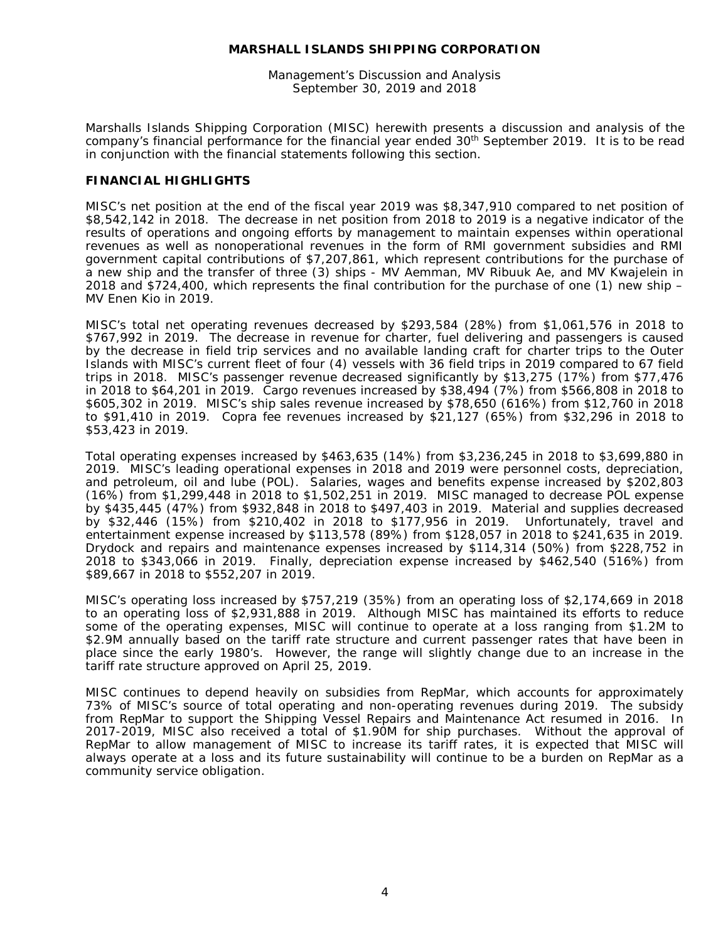Management's Discussion and Analysis September 30, 2019 and 2018

Marshalls Islands Shipping Corporation (MISC) herewith presents a discussion and analysis of the company's financial performance for the financial year ended  $30<sup>th</sup>$  September 2019. It is to be read in conjunction with the financial statements following this section.

#### **FINANCIAL HIGHLIGHTS**

MISC's net position at the end of the fiscal year 2019 was \$8,347,910 compared to net position of \$8,542,142 in 2018. The decrease in net position from 2018 to 2019 is a negative indicator of the results of operations and ongoing efforts by management to maintain expenses within operational revenues as well as nonoperational revenues in the form of RMI government subsidies and RMI government capital contributions of \$7,207,861, which represent contributions for the purchase of a new ship and the transfer of three (3) ships - MV Aemman, MV Ribuuk Ae, and MV Kwajelein in 2018 and \$724,400, which represents the final contribution for the purchase of one (1) new ship – MV Enen Kio in 2019.

MISC's total net operating revenues decreased by \$293,584 (28%) from \$1,061,576 in 2018 to \$767,992 in 2019. The decrease in revenue for charter, fuel delivering and passengers is caused by the decrease in field trip services and no available landing craft for charter trips to the Outer Islands with MISC's current fleet of four (4) vessels with 36 field trips in 2019 compared to 67 field trips in 2018. MISC's passenger revenue decreased significantly by \$13,275 (17%) from \$77,476 in 2018 to \$64,201 in 2019. Cargo revenues increased by \$38,494 (7%) from \$566,808 in 2018 to \$605,302 in 2019. MISC's ship sales revenue increased by \$78,650 (616%) from \$12,760 in 2018 to \$91,410 in 2019. Copra fee revenues increased by \$21,127 (65%) from \$32,296 in 2018 to \$53,423 in 2019.

Total operating expenses increased by \$463,635 (14%) from \$3,236,245 in 2018 to \$3,699,880 in 2019. MISC's leading operational expenses in 2018 and 2019 were personnel costs, depreciation, and petroleum, oil and lube (POL). Salaries, wages and benefits expense increased by \$202,803 (16%) from \$1,299,448 in 2018 to \$1,502,251 in 2019. MISC managed to decrease POL expense by \$435,445 (47%) from \$932,848 in 2018 to \$497,403 in 2019. Material and supplies decreased by \$32,446 (15%) from \$210,402 in 2018 to \$177,956 in 2019. Unfortunately, travel and entertainment expense increased by \$113,578 (89%) from \$128,057 in 2018 to \$241,635 in 2019. Drydock and repairs and maintenance expenses increased by \$114,314 (50%) from \$228,752 in 2018 to \$343,066 in 2019. Finally, depreciation expense increased by \$462,540 (516%) from \$89,667 in 2018 to \$552,207 in 2019.

MISC's operating loss increased by \$757,219 (35%) from an operating loss of \$2,174,669 in 2018 to an operating loss of \$2,931,888 in 2019. Although MISC has maintained its efforts to reduce some of the operating expenses, MISC will continue to operate at a loss ranging from \$1.2M to \$2.9M annually based on the tariff rate structure and current passenger rates that have been in place since the early 1980's. However, the range will slightly change due to an increase in the tariff rate structure approved on April 25, 2019.

MISC continues to depend heavily on subsidies from RepMar, which accounts for approximately 73% of MISC's source of total operating and non-operating revenues during 2019. The subsidy from RepMar to support the Shipping Vessel Repairs and Maintenance Act resumed in 2016. In 2017-2019, MISC also received a total of \$1.90M for ship purchases. Without the approval of RepMar to allow management of MISC to increase its tariff rates, it is expected that MISC will always operate at a loss and its future sustainability will continue to be a burden on RepMar as a community service obligation.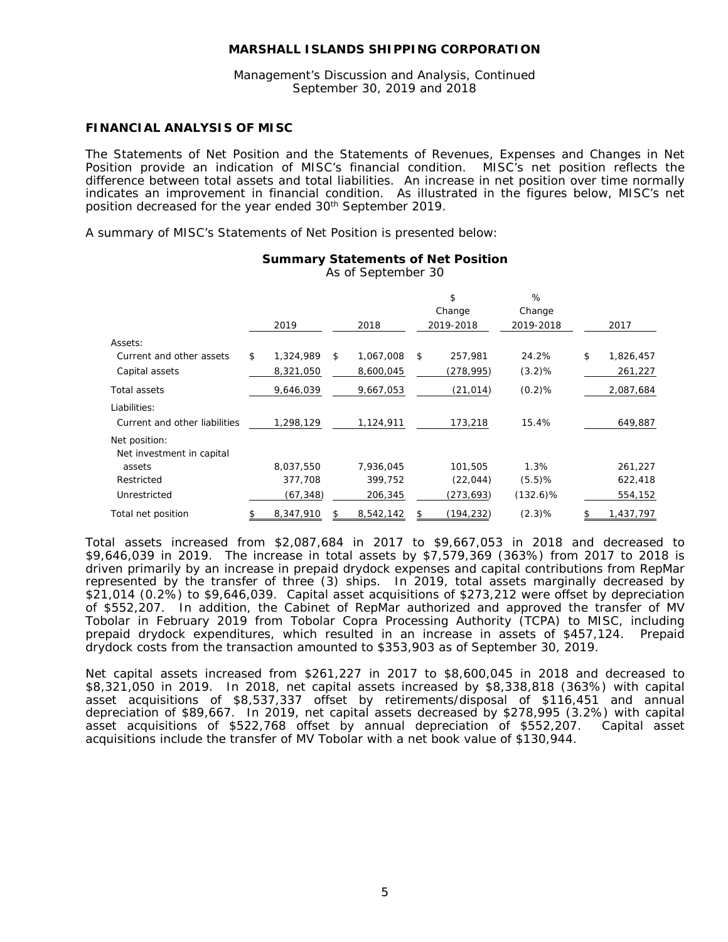Management's Discussion and Analysis, Continued September 30, 2019 and 2018

#### **FINANCIAL ANALYSIS OF MISC**

The Statements of Net Position and the Statements of Revenues, Expenses and Changes in Net Position provide an indication of MISC's financial condition. MISC's net position reflects the difference between total assets and total liabilities. An increase in net position over time normally indicates an improvement in financial condition. As illustrated in the figures below, MISC's net position decreased for the year ended 30th September 2019.

A summary of MISC's Statements of Net Position is presented below:

|                               | 2019            |    | 2018      | \$<br>Change<br>2019-2018 | %<br>Change<br>2019-2018 | 2017            |
|-------------------------------|-----------------|----|-----------|---------------------------|--------------------------|-----------------|
| Assets:                       |                 |    |           |                           |                          |                 |
| Current and other assets      | \$<br>1,324,989 | \$ | 1,067,008 | \$<br>257,981             | 24.2%                    | \$<br>1,826,457 |
| Capital assets                | 8,321,050       |    | 8,600,045 | (278,995)                 | (3.2)%                   | 261,227         |
| Total assets                  | 9,646,039       |    | 9,667,053 | (21, 014)                 | (0.2)%                   | 2,087,684       |
| Liabilities:                  |                 |    |           |                           |                          |                 |
| Current and other liabilities | 1,298,129       |    | 1,124,911 | 173,218                   | 15.4%                    | 649,887         |
| Net position:                 |                 |    |           |                           |                          |                 |
| Net investment in capital     |                 |    |           |                           |                          |                 |
| assets                        | 8,037,550       |    | 7,936,045 | 101.505                   | 1.3%                     | 261,227         |
| Restricted                    | 377,708         |    | 399,752   | (22, 044)                 | (5.5)%                   | 622,418         |
| Unrestricted                  | (67, 348)       |    | 206,345   | (273, 693)                | $(132.6)\%$              | 554,152         |
| Total net position            | \$<br>8,347,910 | S. | 8,542,142 | \$<br>(194,232)           | (2.3)%                   | \$<br>1,437,797 |

#### **Summary Statements of Net Position**

As of September 30

Total assets increased from \$2,087,684 in 2017 to \$9,667,053 in 2018 and decreased to \$9,646,039 in 2019. The increase in total assets by \$7,579,369 (363%) from 2017 to 2018 is driven primarily by an increase in prepaid drydock expenses and capital contributions from RepMar represented by the transfer of three (3) ships. In 2019, total assets marginally decreased by \$21,014 (0.2%) to \$9,646,039. Capital asset acquisitions of \$273,212 were offset by depreciation of \$552,207. In addition, the Cabinet of RepMar authorized and approved the transfer of MV Tobolar in February 2019 from Tobolar Copra Processing Authority (TCPA) to MISC, including prepaid drydock expenditures, which resulted in an increase in assets of \$457,124. Prepaid drydock costs from the transaction amounted to \$353,903 as of September 30, 2019.

Net capital assets increased from \$261,227 in 2017 to \$8,600,045 in 2018 and decreased to \$8,321,050 in 2019. In 2018, net capital assets increased by \$8,338,818 (363%) with capital asset acquisitions of \$8,537,337 offset by retirements/disposal of \$116,451 and annual depreciation of \$89,667. In 2019, net capital assets decreased by \$278,995 (3.2%) with capital asset acquisitions of \$522,768 offset by annual depreciation of \$552,207. Capital asset acquisitions include the transfer of MV Tobolar with a net book value of \$130,944.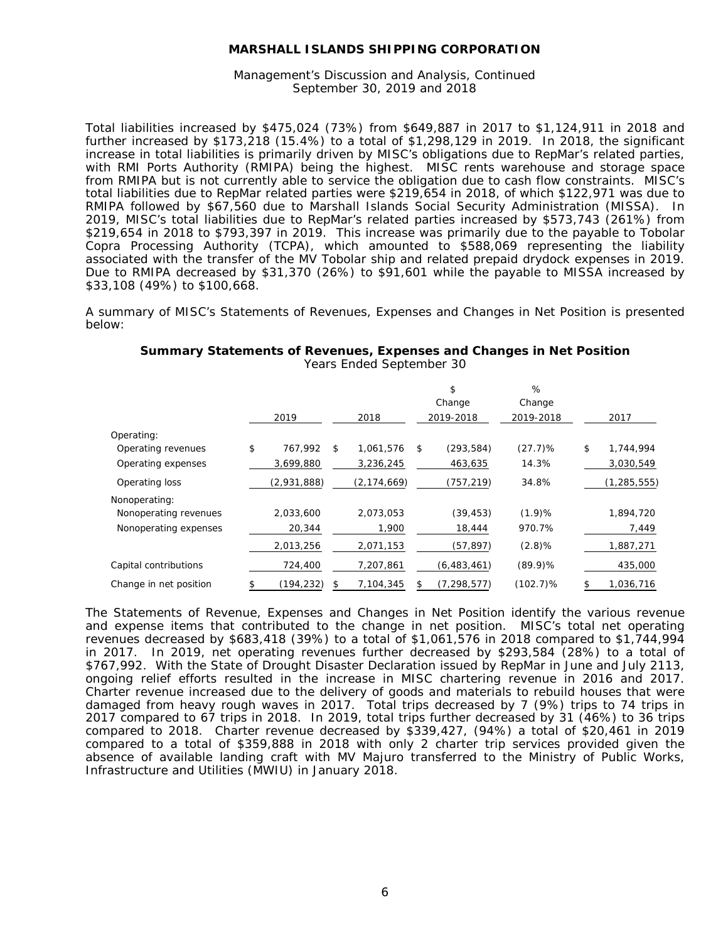Management's Discussion and Analysis, Continued September 30, 2019 and 2018

Total liabilities increased by \$475,024 (73%) from \$649,887 in 2017 to \$1,124,911 in 2018 and further increased by \$173,218 (15.4%) to a total of \$1,298,129 in 2019. In 2018, the significant increase in total liabilities is primarily driven by MISC's obligations due to RepMar's related parties, with RMI Ports Authority (RMIPA) being the highest. MISC rents warehouse and storage space from RMIPA but is not currently able to service the obligation due to cash flow constraints. MISC's total liabilities due to RepMar related parties were \$219,654 in 2018, of which \$122,971 was due to RMIPA followed by \$67,560 due to Marshall Islands Social Security Administration (MISSA). In 2019, MISC's total liabilities due to RepMar's related parties increased by \$573,743 (261%) from \$219,654 in 2018 to \$793,397 in 2019. This increase was primarily due to the payable to Tobolar Copra Processing Authority (TCPA), which amounted to \$588,069 representing the liability associated with the transfer of the MV Tobolar ship and related prepaid drydock expenses in 2019. Due to RMIPA decreased by \$31,370 (26%) to \$91,601 while the payable to MISSA increased by \$33,108 (49%) to \$100,668.

A summary of MISC's Statements of Revenues, Expenses and Changes in Net Position is presented below:

|                        |                  |                 | \$<br>Change        | %<br>Change |                 |
|------------------------|------------------|-----------------|---------------------|-------------|-----------------|
|                        | 2019             | 2018            | 2019-2018           | 2019-2018   | 2017            |
| Operating:             |                  |                 |                     |             |                 |
| Operating revenues     | \$<br>767,992    | \$<br>1,061,576 | \$<br>(293, 584)    | (27.7)%     | \$<br>1,744,994 |
| Operating expenses     | 3,699,880        | 3,236,245       | 463,635             | 14.3%       | 3,030,549       |
| Operating loss         | (2,931,888)      | (2, 174, 669)   | (757,219)           | 34.8%       | (1, 285, 555)   |
| Nonoperating:          |                  |                 |                     |             |                 |
| Nonoperating revenues  | 2,033,600        | 2,073,053       | (39, 453)           | (1.9)%      | 1,894,720       |
| Nonoperating expenses  | 20,344           | 1,900           | 18,444              | 970.7%      | 7,449           |
|                        | 2,013,256        | 2,071,153       | (57, 897)           | $(2.8)\%$   | 1,887,271       |
| Capital contributions  | 724,400          | 7,207,861       | (6, 483, 461)       | $(89.9)$ %  | 435,000         |
| Change in net position | \$<br>(194, 232) | \$<br>7,104,345 | \$<br>(7, 298, 577) | $(102.7)\%$ | \$<br>1,036,716 |

### **Summary Statements of Revenues, Expenses and Changes in Net Position**

Years Ended September 30

The Statements of Revenue, Expenses and Changes in Net Position identify the various revenue and expense items that contributed to the change in net position. MISC's total net operating revenues decreased by \$683,418 (39%) to a total of \$1,061,576 in 2018 compared to \$1,744,994 in 2017. In 2019, net operating revenues further decreased by \$293,584 (28%) to a total of \$767,992. With the State of Drought Disaster Declaration issued by RepMar in June and July 2113, ongoing relief efforts resulted in the increase in MISC chartering revenue in 2016 and 2017. Charter revenue increased due to the delivery of goods and materials to rebuild houses that were damaged from heavy rough waves in 2017. Total trips decreased by 7 (9%) trips to 74 trips in 2017 compared to 67 trips in 2018. In 2019, total trips further decreased by 31 (46%) to 36 trips compared to 2018. Charter revenue decreased by \$339,427, (94%) a total of \$20,461 in 2019 compared to a total of \$359,888 in 2018 with only 2 charter trip services provided given the absence of available landing craft with MV Majuro transferred to the Ministry of Public Works, Infrastructure and Utilities (MWIU) in January 2018.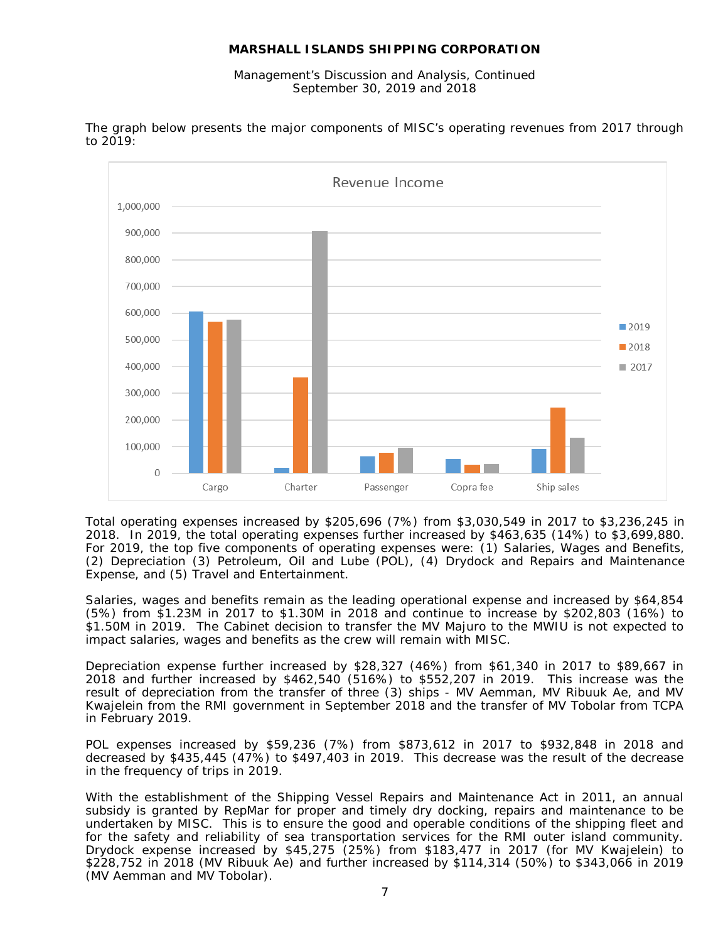Management's Discussion and Analysis, Continued September 30, 2019 and 2018



The graph below presents the major components of MISC's operating revenues from 2017 through to 2019:

Total operating expenses increased by \$205,696 (7%) from \$3,030,549 in 2017 to \$3,236,245 in 2018. In 2019, the total operating expenses further increased by \$463,635 (14%) to \$3,699,880. For 2019, the top five components of operating expenses were: (1) Salaries, Wages and Benefits, (2) Depreciation (3) Petroleum, Oil and Lube (POL), (4) Drydock and Repairs and Maintenance Expense, and (5) Travel and Entertainment.

Salaries, wages and benefits remain as the leading operational expense and increased by \$64,854 (5%) from \$1.23M in 2017 to \$1.30M in 2018 and continue to increase by \$202,803 (16%) to \$1.50M in 2019. The Cabinet decision to transfer the MV Majuro to the MWIU is not expected to impact salaries, wages and benefits as the crew will remain with MISC.

Depreciation expense further increased by \$28,327 (46%) from \$61,340 in 2017 to \$89,667 in 2018 and further increased by \$462,540 (516%) to \$552,207 in 2019. This increase was the result of depreciation from the transfer of three (3) ships - MV Aemman, MV Ribuuk Ae, and MV Kwajelein from the RMI government in September 2018 and the transfer of MV Tobolar from TCPA in February 2019.

POL expenses increased by \$59,236 (7%) from \$873,612 in 2017 to \$932,848 in 2018 and decreased by \$435,445 (47%) to \$497,403 in 2019. This decrease was the result of the decrease in the frequency of trips in 2019.

With the establishment of the Shipping Vessel Repairs and Maintenance Act in 2011, an annual subsidy is granted by RepMar for proper and timely dry docking, repairs and maintenance to be undertaken by MISC. This is to ensure the good and operable conditions of the shipping fleet and for the safety and reliability of sea transportation services for the RMI outer island community. Drydock expense increased by \$45,275 (25%) from \$183,477 in 2017 (for MV Kwajelein) to \$228,752 in 2018 (MV Ribuuk Ae) and further increased by \$114,314 (50%) to \$343,066 in 2019 (MV Aemman and MV Tobolar).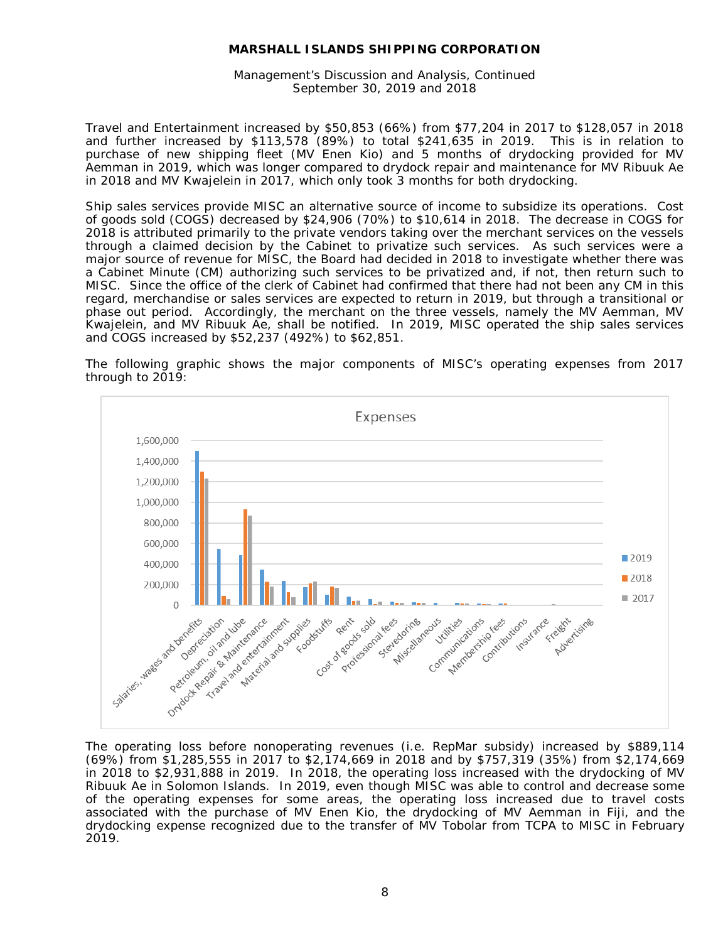Management's Discussion and Analysis, Continued September 30, 2019 and 2018

Travel and Entertainment increased by \$50,853 (66%) from \$77,204 in 2017 to \$128,057 in 2018 and further increased by \$113,578 (89%) to total \$241,635 in 2019. This is in relation to purchase of new shipping fleet (MV Enen Kio) and 5 months of drydocking provided for MV Aemman in 2019, which was longer compared to drydock repair and maintenance for MV Ribuuk Ae in 2018 and MV Kwajelein in 2017, which only took 3 months for both drydocking.

Ship sales services provide MISC an alternative source of income to subsidize its operations. Cost of goods sold (COGS) decreased by \$24,906 (70%) to \$10,614 in 2018. The decrease in COGS for 2018 is attributed primarily to the private vendors taking over the merchant services on the vessels through a claimed decision by the Cabinet to privatize such services. As such services were a major source of revenue for MISC, the Board had decided in 2018 to investigate whether there was a Cabinet Minute (CM) authorizing such services to be privatized and, if not, then return such to MISC. Since the office of the clerk of Cabinet had confirmed that there had not been any CM in this regard, merchandise or sales services are expected to return in 2019, but through a transitional or phase out period. Accordingly, the merchant on the three vessels, namely the MV Aemman, MV Kwajelein, and MV Ribuuk Ae, shall be notified. In 2019, MISC operated the ship sales services and COGS increased by \$52,237 (492%) to \$62,851.

The following graphic shows the major components of MISC's operating expenses from 2017 through to 2019:



The operating loss before nonoperating revenues (i.e. RepMar subsidy) increased by \$889,114 (69%) from \$1,285,555 in 2017 to \$2,174,669 in 2018 and by \$757,319 (35%) from \$2,174,669 in 2018 to \$2,931,888 in 2019. In 2018, the operating loss increased with the drydocking of MV Ribuuk Ae in Solomon Islands. In 2019, even though MISC was able to control and decrease some of the operating expenses for some areas, the operating loss increased due to travel costs associated with the purchase of MV Enen Kio, the drydocking of MV Aemman in Fiji, and the drydocking expense recognized due to the transfer of MV Tobolar from TCPA to MISC in February 2019.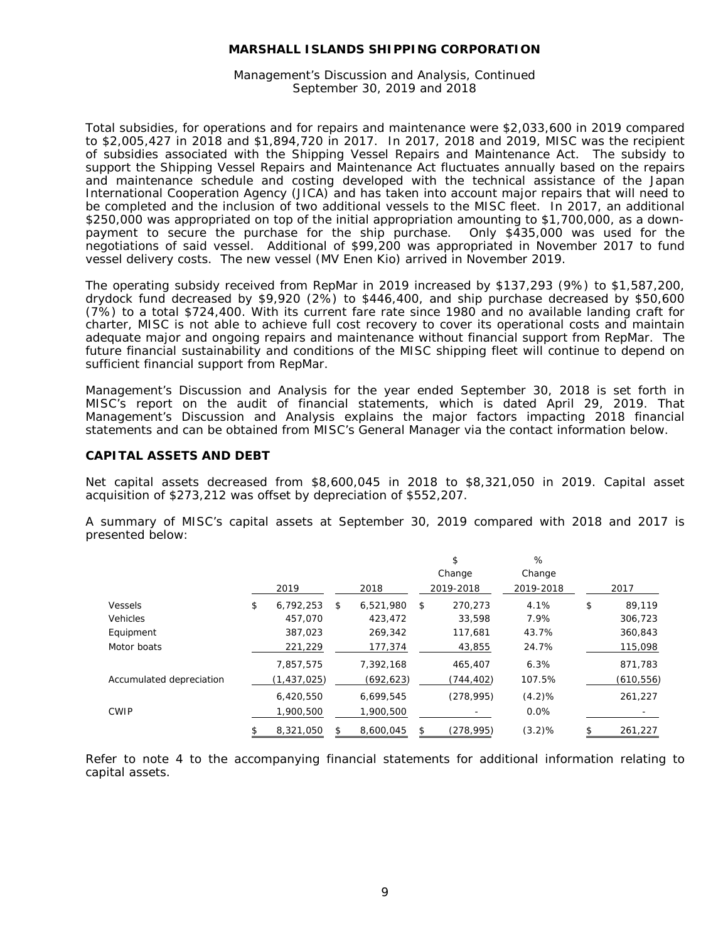Management's Discussion and Analysis, Continued September 30, 2019 and 2018

Total subsidies, for operations and for repairs and maintenance were \$2,033,600 in 2019 compared to \$2,005,427 in 2018 and \$1,894,720 in 2017. In 2017, 2018 and 2019, MISC was the recipient of subsidies associated with the Shipping Vessel Repairs and Maintenance Act. The subsidy to support the Shipping Vessel Repairs and Maintenance Act fluctuates annually based on the repairs and maintenance schedule and costing developed with the technical assistance of the Japan International Cooperation Agency (JICA) and has taken into account major repairs that will need to be completed and the inclusion of two additional vessels to the MISC fleet. In 2017, an additional \$250,000 was appropriated on top of the initial appropriation amounting to \$1,700,000, as a down-<br>payment to secure the purchase for the ship purchase. Only \$435,000 was used for the payment to secure the purchase for the ship purchase. negotiations of said vessel. Additional of \$99,200 was appropriated in November 2017 to fund vessel delivery costs. The new vessel (MV Enen Kio) arrived in November 2019.

The operating subsidy received from RepMar in 2019 increased by \$137,293 (9%) to \$1,587,200, drydock fund decreased by \$9,920 (2%) to \$446,400, and ship purchase decreased by \$50,600 (7%) to a total \$724,400. With its current fare rate since 1980 and no available landing craft for charter, MISC is not able to achieve full cost recovery to cover its operational costs and maintain adequate major and ongoing repairs and maintenance without financial support from RepMar. The future financial sustainability and conditions of the MISC shipping fleet will continue to depend on sufficient financial support from RepMar.

Management's Discussion and Analysis for the year ended September 30, 2018 is set forth in MISC's report on the audit of financial statements, which is dated April 29, 2019. That Management's Discussion and Analysis explains the major factors impacting 2018 financial statements and can be obtained from MISC's General Manager via the contact information below.

#### **CAPITAL ASSETS AND DEBT**

Net capital assets decreased from \$8,600,045 in 2018 to \$8,321,050 in 2019. Capital asset acquisition of \$273,212 was offset by depreciation of \$552,207.

A summary of MISC's capital assets at September 30, 2019 compared with 2018 and 2017 is presented below:

|                          |                 |                 | \$<br>Change  | %<br>Change |              |
|--------------------------|-----------------|-----------------|---------------|-------------|--------------|
|                          | 2019            | 2018            | 2019-2018     | 2019-2018   | 2017         |
| Vessels                  | \$<br>6.792.253 | \$<br>6,521,980 | \$<br>270.273 | 4.1%        | \$<br>89.119 |
| Vehicles                 | 457,070         | 423,472         | 33,598        | 7.9%        | 306,723      |
| Equipment                | 387,023         | 269,342         | 117,681       | 43.7%       | 360,843      |
| Motor boats              | 221,229         | 177,374         | 43,855        | 24.7%       | 115,098      |
|                          | 7,857,575       | 7,392,168       | 465,407       | 6.3%        | 871,783      |
| Accumulated depreciation | (1, 437, 025)   | (692, 623)      | (744,402)     | 107.5%      | (610, 556)   |
|                          | 6,420,550       | 6,699,545       | (278, 995)    | (4.2)%      | 261,227      |
| <b>CWIP</b>              | 1,900,500       | 1,900,500       |               | 0.0%        |              |
|                          | 8,321,050       | 8,600,045       | (278, 995)    | (3.2)%      | 261,227      |

Refer to note 4 to the accompanying financial statements for additional information relating to capital assets.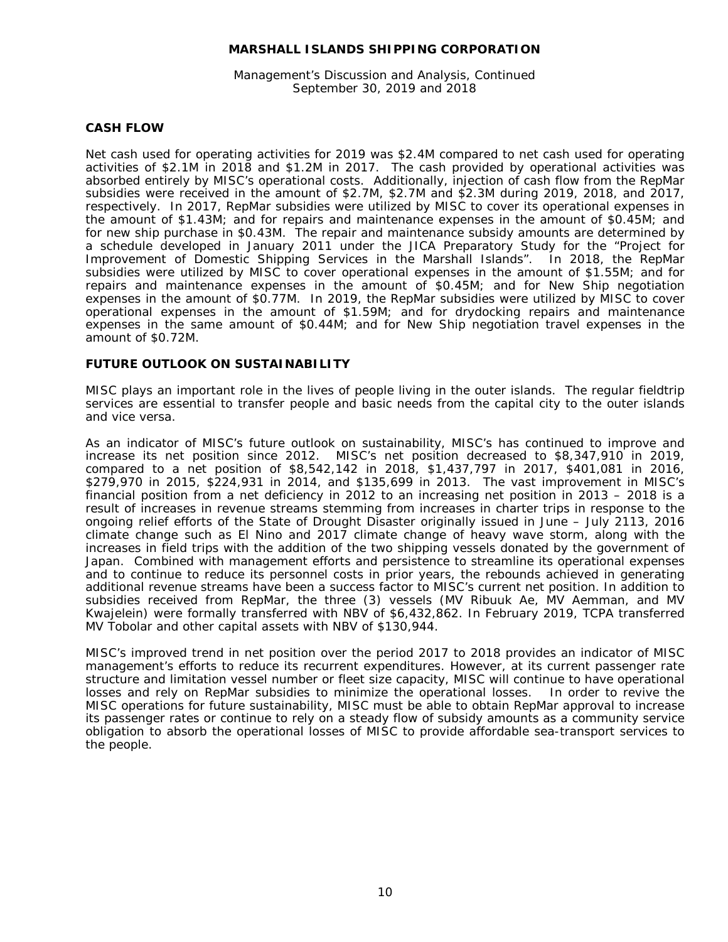Management's Discussion and Analysis, Continued September 30, 2019 and 2018

#### **CASH FLOW**

Net cash used for operating activities for 2019 was \$2.4M compared to net cash used for operating activities of \$2.1M in 2018 and \$1.2M in 2017. The cash provided by operational activities was absorbed entirely by MISC's operational costs. Additionally, injection of cash flow from the RepMar subsidies were received in the amount of \$2.7M, \$2.7M and \$2.3M during 2019, 2018, and 2017, respectively. In 2017, RepMar subsidies were utilized by MISC to cover its operational expenses in the amount of \$1.43M; and for repairs and maintenance expenses in the amount of \$0.45M; and for new ship purchase in \$0.43M. The repair and maintenance subsidy amounts are determined by a schedule developed in January 2011 under the JICA Preparatory Study for the "Project for Improvement of Domestic Shipping Services in the Marshall Islands". In 2018, the RepMar subsidies were utilized by MISC to cover operational expenses in the amount of \$1.55M; and for repairs and maintenance expenses in the amount of \$0.45M; and for New Ship negotiation expenses in the amount of \$0.77M. In 2019, the RepMar subsidies were utilized by MISC to cover operational expenses in the amount of \$1.59M; and for drydocking repairs and maintenance expenses in the same amount of \$0.44M; and for New Ship negotiation travel expenses in the amount of \$0.72M.

#### **FUTURE OUTLOOK ON SUSTAINABILITY**

MISC plays an important role in the lives of people living in the outer islands. The regular fieldtrip services are essential to transfer people and basic needs from the capital city to the outer islands and vice versa.

As an indicator of MISC's future outlook on sustainability, MISC's has continued to improve and increase its net position since 2012. MISC's net position decreased to \$8,347,910 in 2019, compared to a net position of \$8,542,142 in 2018, \$1,437,797 in 2017, \$401,081 in 2016, \$279,970 in 2015, \$224,931 in 2014, and \$135,699 in 2013. The vast improvement in MISC's financial position from a net deficiency in 2012 to an increasing net position in 2013 – 2018 is a result of increases in revenue streams stemming from increases in charter trips in response to the ongoing relief efforts of the State of Drought Disaster originally issued in June – July 2113, 2016 climate change such as El Nino and 2017 climate change of heavy wave storm, along with the increases in field trips with the addition of the two shipping vessels donated by the government of Japan. Combined with management efforts and persistence to streamline its operational expenses and to continue to reduce its personnel costs in prior years, the rebounds achieved in generating additional revenue streams have been a success factor to MISC's current net position. In addition to subsidies received from RepMar, the three (3) vessels (MV Ribuuk Ae, MV Aemman, and MV Kwajelein) were formally transferred with NBV of \$6,432,862. In February 2019, TCPA transferred MV Tobolar and other capital assets with NBV of \$130,944.

MISC's improved trend in net position over the period 2017 to 2018 provides an indicator of MISC management's efforts to reduce its recurrent expenditures. However, at its current passenger rate structure and limitation vessel number or fleet size capacity, MISC will continue to have operational losses and rely on RepMar subsidies to minimize the operational losses. In order to revive the losses and rely on RepMar subsidies to minimize the operational losses. MISC operations for future sustainability, MISC must be able to obtain RepMar approval to increase its passenger rates or continue to rely on a steady flow of subsidy amounts as a community service obligation to absorb the operational losses of MISC to provide affordable sea-transport services to the people.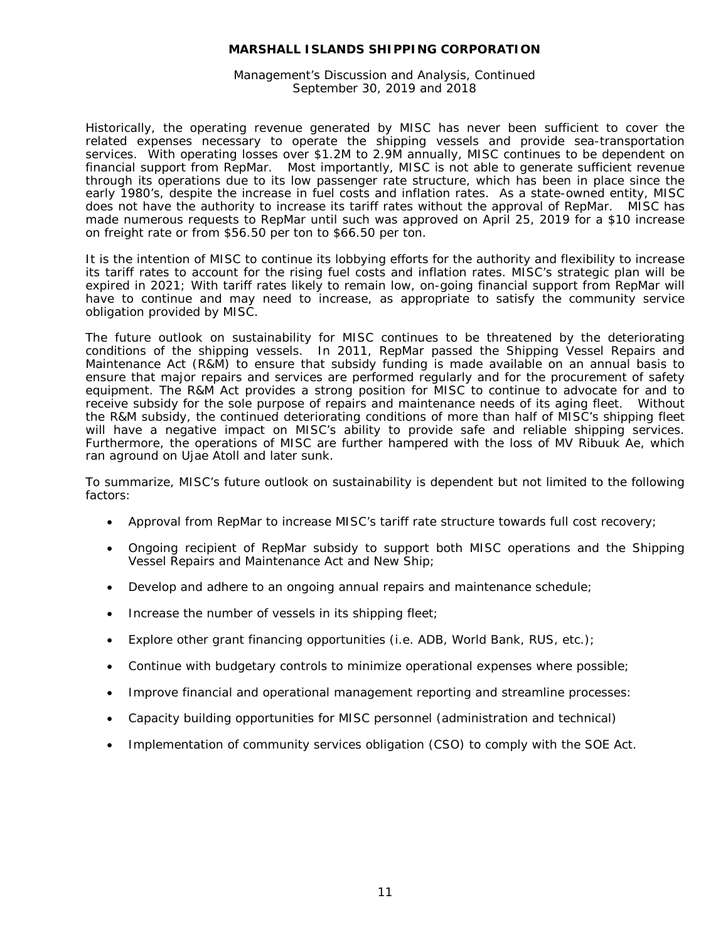Management's Discussion and Analysis, Continued September 30, 2019 and 2018

Historically, the operating revenue generated by MISC has never been sufficient to cover the related expenses necessary to operate the shipping vessels and provide sea-transportation services. With operating losses over \$1.2M to 2.9M annually, MISC continues to be dependent on financial support from RepMar. Most importantly, MISC is not able to generate sufficient revenue through its operations due to its low passenger rate structure, which has been in place since the early 1980's, despite the increase in fuel costs and inflation rates. As a state-owned entity, MISC does not have the authority to increase its tariff rates without the approval of RepMar. MISC has made numerous requests to RepMar until such was approved on April 25, 2019 for a \$10 increase on freight rate or from \$56.50 per ton to \$66.50 per ton.

It is the intention of MISC to continue its lobbying efforts for the authority and flexibility to increase its tariff rates to account for the rising fuel costs and inflation rates. MISC's strategic plan will be expired in 2021; With tariff rates likely to remain low, on-going financial support from RepMar will have to continue and may need to increase, as appropriate to satisfy the community service obligation provided by MISC.

The future outlook on sustainability for MISC continues to be threatened by the deteriorating conditions of the shipping vessels. In 2011, RepMar passed the Shipping Vessel Repairs and Maintenance Act (R&M) to ensure that subsidy funding is made available on an annual basis to ensure that major repairs and services are performed regularly and for the procurement of safety equipment. The R&M Act provides a strong position for MISC to continue to advocate for and to receive subsidy for the sole purpose of repairs and maintenance needs of its aging fleet. Without the R&M subsidy, the continued deteriorating conditions of more than half of MISC's shipping fleet will have a negative impact on MISC's ability to provide safe and reliable shipping services. Furthermore, the operations of MISC are further hampered with the loss of MV Ribuuk Ae, which ran aground on Ujae Atoll and later sunk.

To summarize, MISC's future outlook on sustainability is dependent but not limited to the following factors:

- Approval from RepMar to increase MISC's tariff rate structure towards full cost recovery;
- Ongoing recipient of RepMar subsidy to support both MISC operations and the Shipping Vessel Repairs and Maintenance Act and New Ship;
- Develop and adhere to an ongoing annual repairs and maintenance schedule;
- Increase the number of vessels in its shipping fleet;
- Explore other grant financing opportunities (i.e. ADB, World Bank, RUS, etc.);
- Continue with budgetary controls to minimize operational expenses where possible;
- Improve financial and operational management reporting and streamline processes:
- Capacity building opportunities for MISC personnel (administration and technical)
- Implementation of community services obligation (CSO) to comply with the SOE Act.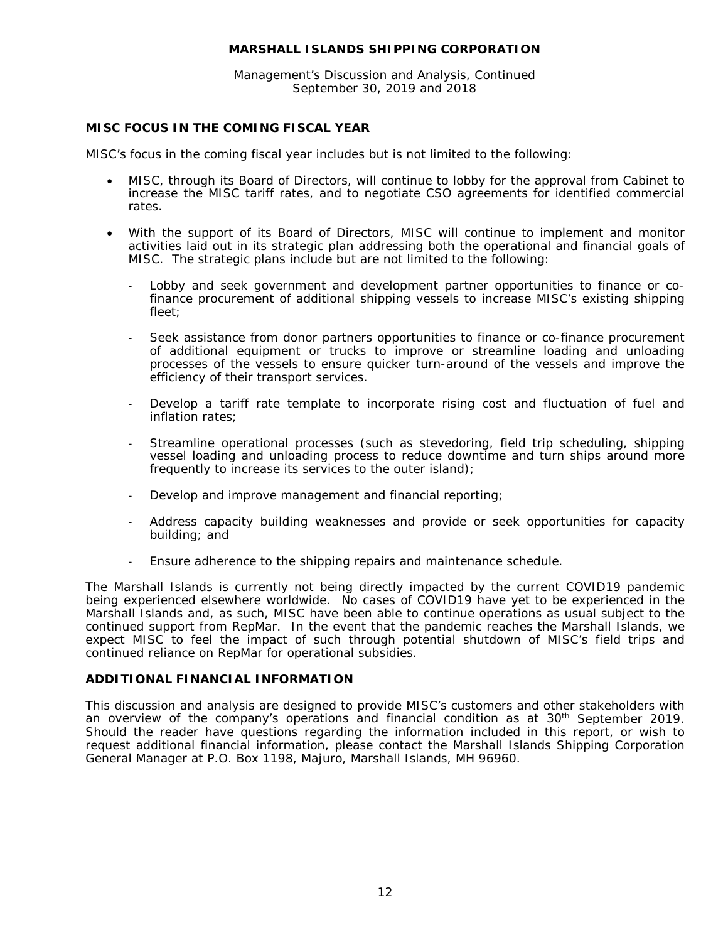Management's Discussion and Analysis, Continued September 30, 2019 and 2018

#### **MISC FOCUS IN THE COMING FISCAL YEAR**

MISC's focus in the coming fiscal year includes but is not limited to the following:

- MISC, through its Board of Directors, will continue to lobby for the approval from Cabinet to increase the MISC tariff rates, and to negotiate CSO agreements for identified commercial rates.
- With the support of its Board of Directors, MISC will continue to implement and monitor activities laid out in its strategic plan addressing both the operational and financial goals of MISC. The strategic plans include but are not limited to the following:
	- Lobby and seek government and development partner opportunities to finance or cofinance procurement of additional shipping vessels to increase MISC's existing shipping fleet;
	- Seek assistance from donor partners opportunities to finance or co-finance procurement of additional equipment or trucks to improve or streamline loading and unloading processes of the vessels to ensure quicker turn-around of the vessels and improve the efficiency of their transport services.
	- Develop a tariff rate template to incorporate rising cost and fluctuation of fuel and inflation rates;
	- Streamline operational processes (such as stevedoring, field trip scheduling, shipping vessel loading and unloading process to reduce downtime and turn ships around more frequently to increase its services to the outer island);
	- Develop and improve management and financial reporting;
	- Address capacity building weaknesses and provide or seek opportunities for capacity building; and
	- Ensure adherence to the shipping repairs and maintenance schedule.

The Marshall Islands is currently not being directly impacted by the current COVID19 pandemic being experienced elsewhere worldwide. No cases of COVID19 have yet to be experienced in the Marshall Islands and, as such, MISC have been able to continue operations as usual subject to the continued support from RepMar. In the event that the pandemic reaches the Marshall Islands, we expect MISC to feel the impact of such through potential shutdown of MISC's field trips and continued reliance on RepMar for operational subsidies.

#### **ADDITIONAL FINANCIAL INFORMATION**

This discussion and analysis are designed to provide MISC's customers and other stakeholders with an overview of the company's operations and financial condition as at 30<sup>th</sup> September 2019. Should the reader have questions regarding the information included in this report, or wish to request additional financial information, please contact the Marshall Islands Shipping Corporation General Manager at P.O. Box 1198, Majuro, Marshall Islands, MH 96960.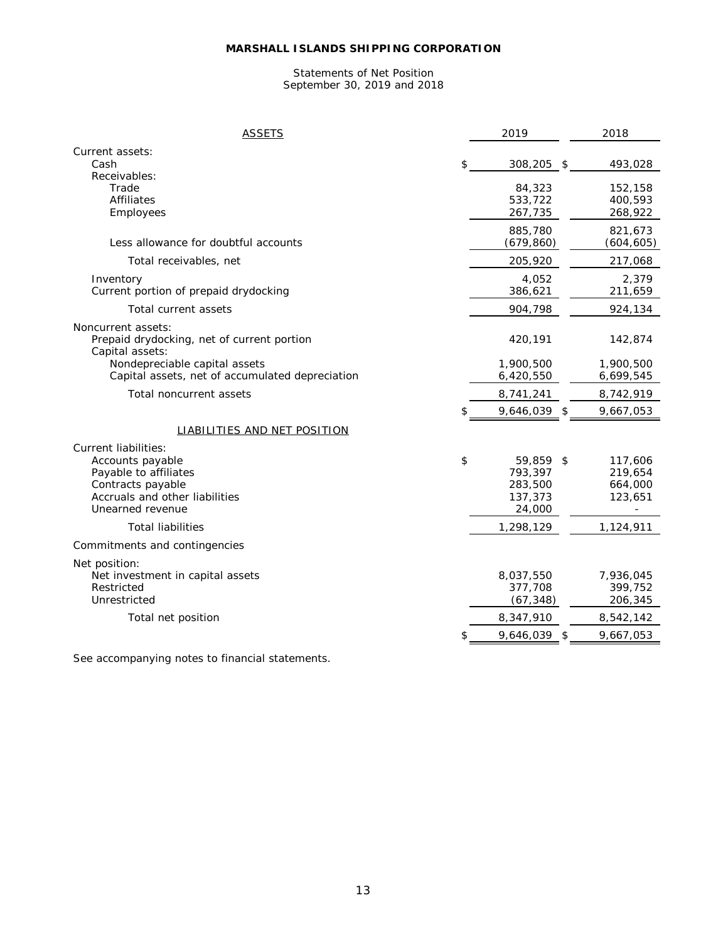#### Statements of Net Position September 30, 2019 and 2018

| <b>ASSETS</b>                                                                                                                                       |     | 2019                                                 |                | 2018                                     |
|-----------------------------------------------------------------------------------------------------------------------------------------------------|-----|------------------------------------------------------|----------------|------------------------------------------|
| Current assets:<br>Cash                                                                                                                             | \$  | 308,205 \$                                           |                | 493,028                                  |
| Receivables:<br>Trade<br><b>Affiliates</b><br>Employees                                                                                             |     | 84,323<br>533,722<br>267,735                         |                | 152,158<br>400,593<br>268,922            |
| Less allowance for doubtful accounts                                                                                                                |     | 885,780<br>(679, 860)                                |                | 821,673<br>(604, 605)                    |
| Total receivables, net                                                                                                                              |     | 205,920                                              |                | 217,068                                  |
| Inventory<br>Current portion of prepaid drydocking                                                                                                  |     | 4,052<br>386,621                                     |                | 2,379<br>211,659                         |
| Total current assets                                                                                                                                |     | 904,798                                              |                | 924,134                                  |
| Noncurrent assets:<br>Prepaid drydocking, net of current portion<br>Capital assets:                                                                 |     | 420,191                                              |                | 142,874                                  |
| Nondepreciable capital assets<br>Capital assets, net of accumulated depreciation                                                                    |     | 1,900,500<br>6,420,550                               |                | 1,900,500<br>6,699,545                   |
| Total noncurrent assets                                                                                                                             |     | 8,741,241                                            |                | 8,742,919                                |
|                                                                                                                                                     | \$. | 9,646,039                                            | $\mathfrak{S}$ | 9,667,053                                |
| LIABILITIES AND NET POSITION                                                                                                                        |     |                                                      |                |                                          |
| <b>Current liabilities:</b><br>Accounts payable<br>Payable to affiliates<br>Contracts payable<br>Accruals and other liabilities<br>Unearned revenue | \$  | 59,859 \$<br>793,397<br>283,500<br>137,373<br>24,000 |                | 117,606<br>219,654<br>664,000<br>123,651 |
| <b>Total liabilities</b>                                                                                                                            |     | 1,298,129                                            |                | 1,124,911                                |
| Commitments and contingencies                                                                                                                       |     |                                                      |                |                                          |
| Net position:<br>Net investment in capital assets<br>Restricted<br>Unrestricted                                                                     |     | 8,037,550<br>377,708<br>(67, 348)                    |                | 7,936,045<br>399,752<br>206,345          |
| Total net position                                                                                                                                  |     | 8,347,910                                            |                | 8,542,142                                |
|                                                                                                                                                     |     | 9,646,039                                            |                | 9,667,053                                |

See accompanying notes to financial statements.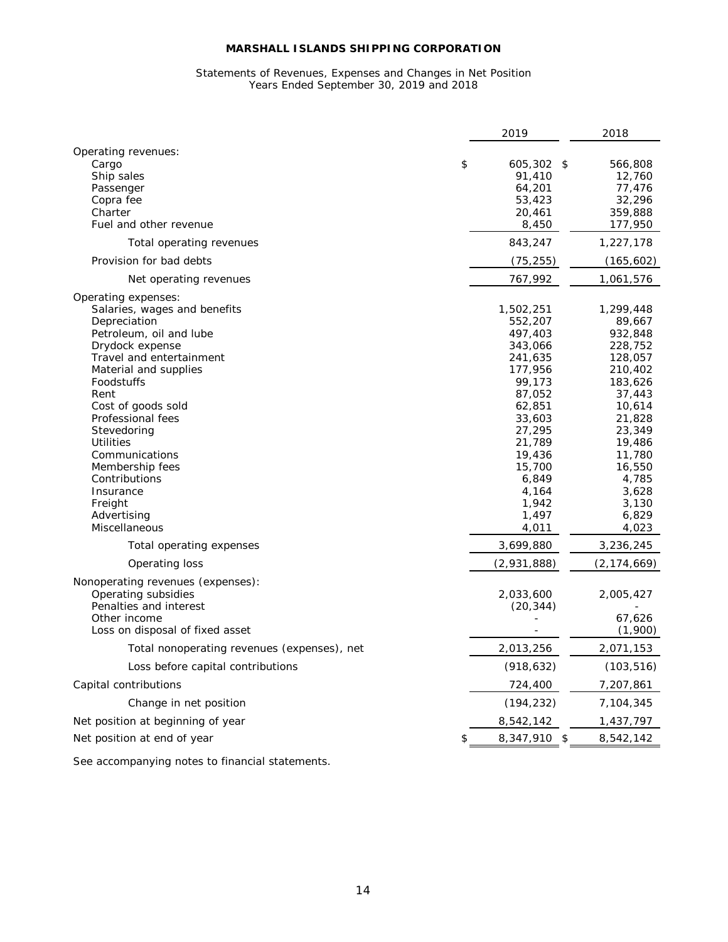#### Statements of Revenues, Expenses and Changes in Net Position Years Ended September 30, 2019 and 2018

|                                                                                                                                                                                                                                                                                                                                                                                          | 2019                                                                                                                                                                                          | 2018                                                                                                                                                                                          |
|------------------------------------------------------------------------------------------------------------------------------------------------------------------------------------------------------------------------------------------------------------------------------------------------------------------------------------------------------------------------------------------|-----------------------------------------------------------------------------------------------------------------------------------------------------------------------------------------------|-----------------------------------------------------------------------------------------------------------------------------------------------------------------------------------------------|
| Operating revenues:<br>Cargo<br>\$<br>Ship sales<br>Passenger<br>Copra fee<br>Charter<br>Fuel and other revenue                                                                                                                                                                                                                                                                          | $605,302$ \$<br>91,410<br>64,201<br>53,423<br>20,461<br>8,450                                                                                                                                 | 566,808<br>12,760<br>77,476<br>32,296<br>359,888<br>177,950                                                                                                                                   |
| Total operating revenues                                                                                                                                                                                                                                                                                                                                                                 | 843,247                                                                                                                                                                                       | 1,227,178                                                                                                                                                                                     |
| Provision for bad debts                                                                                                                                                                                                                                                                                                                                                                  | (75, 255)                                                                                                                                                                                     | (165, 602)                                                                                                                                                                                    |
| Net operating revenues                                                                                                                                                                                                                                                                                                                                                                   | 767,992                                                                                                                                                                                       | 1,061,576                                                                                                                                                                                     |
| Operating expenses:<br>Salaries, wages and benefits<br>Depreciation<br>Petroleum, oil and lube<br>Drydock expense<br>Travel and entertainment<br>Material and supplies<br>Foodstuffs<br>Rent<br>Cost of goods sold<br>Professional fees<br>Stevedoring<br>Utilities<br>Communications<br>Membership fees<br>Contributions<br>Insurance<br>Freight<br>Advertising<br><b>Miscellaneous</b> | 1,502,251<br>552,207<br>497,403<br>343,066<br>241,635<br>177,956<br>99,173<br>87,052<br>62,851<br>33,603<br>27,295<br>21,789<br>19,436<br>15,700<br>6,849<br>4,164<br>1,942<br>1,497<br>4,011 | 1,299,448<br>89,667<br>932,848<br>228,752<br>128,057<br>210,402<br>183,626<br>37,443<br>10,614<br>21,828<br>23,349<br>19,486<br>11,780<br>16,550<br>4,785<br>3,628<br>3,130<br>6,829<br>4,023 |
| Total operating expenses                                                                                                                                                                                                                                                                                                                                                                 | 3,699,880                                                                                                                                                                                     | 3,236,245                                                                                                                                                                                     |
| Operating loss                                                                                                                                                                                                                                                                                                                                                                           | (2,931,888)                                                                                                                                                                                   | (2,174,669)                                                                                                                                                                                   |
| Nonoperating revenues (expenses):<br>Operating subsidies<br>Penalties and interest<br>Other income<br>Loss on disposal of fixed asset                                                                                                                                                                                                                                                    | 2,033,600<br>(20, 344)                                                                                                                                                                        | 2,005,427<br>67,626<br>(1,900)                                                                                                                                                                |
| Total nonoperating revenues (expenses), net                                                                                                                                                                                                                                                                                                                                              | 2,013,256                                                                                                                                                                                     | 2,071,153                                                                                                                                                                                     |
| Loss before capital contributions                                                                                                                                                                                                                                                                                                                                                        | (918, 632)                                                                                                                                                                                    | (103, 516)                                                                                                                                                                                    |
| Capital contributions                                                                                                                                                                                                                                                                                                                                                                    |                                                                                                                                                                                               |                                                                                                                                                                                               |
|                                                                                                                                                                                                                                                                                                                                                                                          | 724,400                                                                                                                                                                                       | 7,207,861                                                                                                                                                                                     |
| Change in net position                                                                                                                                                                                                                                                                                                                                                                   | (194, 232)                                                                                                                                                                                    | 7,104,345                                                                                                                                                                                     |
| Net position at beginning of year                                                                                                                                                                                                                                                                                                                                                        | 8,542,142                                                                                                                                                                                     | 1,437,797                                                                                                                                                                                     |
| Net position at end of year<br>\$                                                                                                                                                                                                                                                                                                                                                        | 8,347,910 \$                                                                                                                                                                                  | 8,542,142                                                                                                                                                                                     |

See accompanying notes to financial statements.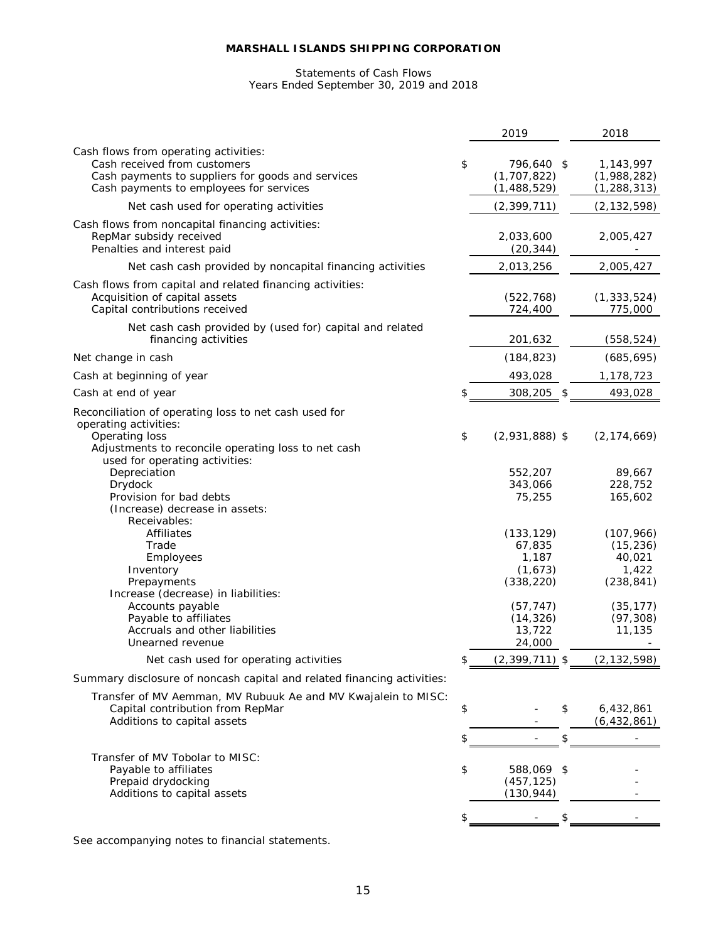#### Statements of Cash Flows Years Ended September 30, 2019 and 2018

|                                                                                                                                                                       | 2019                                                                             | 2018                                                                               |
|-----------------------------------------------------------------------------------------------------------------------------------------------------------------------|----------------------------------------------------------------------------------|------------------------------------------------------------------------------------|
| Cash flows from operating activities:<br>Cash received from customers<br>Cash payments to suppliers for goods and services<br>Cash payments to employees for services | \$<br>796,640 \$<br>(1, 707, 822)<br>(1,488,529)                                 | 1,143,997<br>(1,988,282)<br>(1, 288, 313)                                          |
| Net cash used for operating activities                                                                                                                                | (2, 399, 711)                                                                    | (2, 132, 598)                                                                      |
| Cash flows from noncapital financing activities:<br>RepMar subsidy received<br>Penalties and interest paid                                                            | 2,033,600<br>(20, 344)                                                           | 2,005,427                                                                          |
| Net cash cash provided by noncapital financing activities                                                                                                             | 2,013,256                                                                        | 2,005,427                                                                          |
| Cash flows from capital and related financing activities:<br>Acquisition of capital assets<br>Capital contributions received                                          | (522, 768)<br>724,400                                                            | (1, 333, 524)<br>775,000                                                           |
| Net cash cash provided by (used for) capital and related<br>financing activities                                                                                      | 201,632                                                                          | (558, 524)                                                                         |
| Net change in cash                                                                                                                                                    | (184, 823)                                                                       | (685, 695)                                                                         |
| Cash at beginning of year                                                                                                                                             | 493,028                                                                          | 1,178,723                                                                          |
| Cash at end of year                                                                                                                                                   | \$<br>308,205<br>-\$                                                             | 493,028                                                                            |
| Reconciliation of operating loss to net cash used for                                                                                                                 |                                                                                  |                                                                                    |
| operating activities:<br>Operating loss<br>Adjustments to reconcile operating loss to net cash<br>used for operating activities:                                      | \$<br>$(2,931,888)$ \$                                                           | (2, 174, 669)                                                                      |
| Depreciation<br>Drydock<br>Provision for bad debts<br>(Increase) decrease in assets:<br>Receivables:                                                                  | 552,207<br>343,066<br>75,255                                                     | 89,667<br>228,752<br>165,602                                                       |
| Affiliates<br>Trade<br>Employees<br>Inventory<br>Prepayments<br>Increase (decrease) in liabilities:<br>Accounts payable<br>Payable to affiliates                      | (133, 129)<br>67,835<br>1,187<br>(1,673)<br>(338, 220)<br>(57, 747)<br>(14, 326) | (107, 966)<br>(15, 236)<br>40,021<br>1,422<br>(238, 841)<br>(35, 177)<br>(97, 308) |
| Accruals and other liabilities<br>Unearned revenue                                                                                                                    | 13,722<br>24,000                                                                 | 11,135                                                                             |
| Net cash used for operating activities                                                                                                                                | \$<br>$(2,399,711)$ \$                                                           | (2, 132, 598)                                                                      |
| Summary disclosure of noncash capital and related financing activities:                                                                                               |                                                                                  |                                                                                    |
| Transfer of MV Aemman, MV Rubuuk Ae and MV Kwajalein to MISC:<br>Capital contribution from RepMar<br>Additions to capital assets                                      | \$<br>\$                                                                         | 6,432,861<br>(6, 432, 861)                                                         |
|                                                                                                                                                                       | \$<br>\$                                                                         |                                                                                    |
| Transfer of MV Tobolar to MISC:<br>Payable to affiliates<br>Prepaid drydocking<br>Additions to capital assets                                                         | \$<br>588,069<br>\$<br>(457, 125)<br>(130, 944)                                  |                                                                                    |
|                                                                                                                                                                       | \$                                                                               |                                                                                    |
|                                                                                                                                                                       |                                                                                  |                                                                                    |

See accompanying notes to financial statements.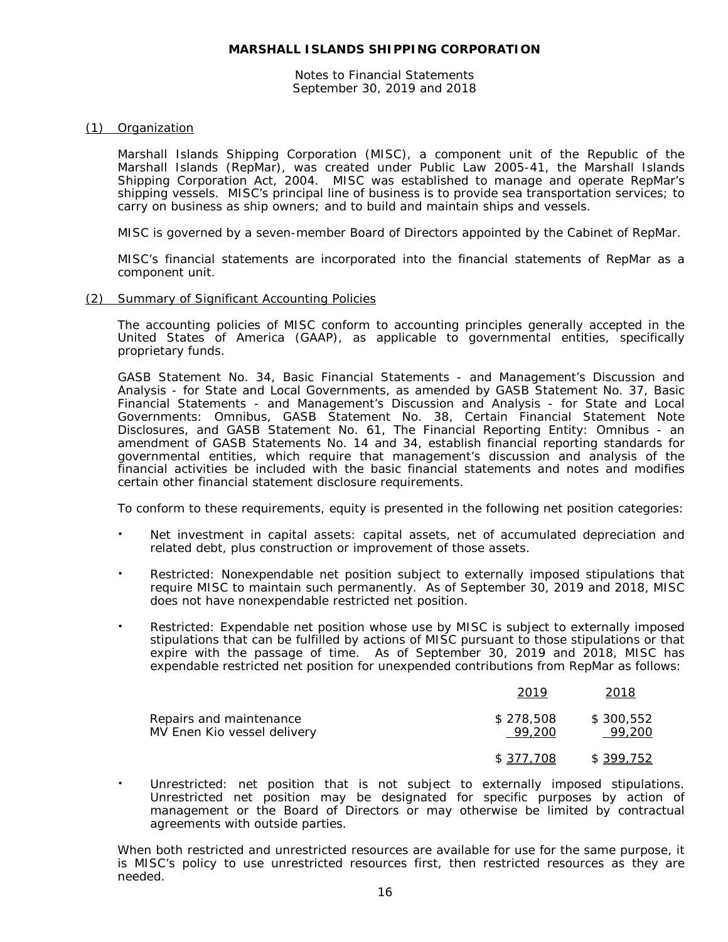Notes to Financial Statements September 30, 2019 and 2018

#### (1) Organization

Marshall Islands Shipping Corporation (MISC), a component unit of the Republic of the Marshall Islands (RepMar), was created under Public Law 2005-41, the Marshall Islands Shipping Corporation Act, 2004. MISC was established to manage and operate RepMar's shipping vessels. MISC's principal line of business is to provide sea transportation services; to carry on business as ship owners; and to build and maintain ships and vessels.

MISC is governed by a seven-member Board of Directors appointed by the Cabinet of RepMar.

MISC's financial statements are incorporated into the financial statements of RepMar as a component unit.

#### (2) Summary of Significant Accounting Policies

The accounting policies of MISC conform to accounting principles generally accepted in the United States of America (GAAP), as applicable to governmental entities, specifically proprietary funds.

GASB Statement No. 34, *Basic Financial Statements - and Management's Discussion and Analysis - for State and Local Governments*, as amended by GASB Statement No. 37, *Basic Financial Statements - and Management's Discussion and Analysis - for State and Local Governments: Omnibus*, GASB Statement No. 38, *Certain Financial Statement Note Disclosures*, and GASB Statement No. 61, *The Financial Reporting Entity: Omnibus - an amendment of GASB Statements No. 14 and 34,* establish financial reporting standards for governmental entities, which require that management's discussion and analysis of the financial activities be included with the basic financial statements and notes and modifies certain other financial statement disclosure requirements.

To conform to these requirements, equity is presented in the following net position categories:

- Net investment in capital assets: capital assets, net of accumulated depreciation and related debt, plus construction or improvement of those assets.
- Restricted: Nonexpendable net position subject to externally imposed stipulations that require MISC to maintain such permanently. As of September 30, 2019 and 2018, MISC does not have nonexpendable restricted net position.
- Restricted: Expendable net position whose use by MISC is subject to externally imposed stipulations that can be fulfilled by actions of MISC pursuant to those stipulations or that expire with the passage of time. As of September 30, 2019 and 2018, MISC has expendable restricted net position for unexpended contributions from RepMar as follows:

|                                                        | 2019                | 2018                |
|--------------------------------------------------------|---------------------|---------------------|
| Repairs and maintenance<br>MV Enen Kio vessel delivery | \$278,508<br>99.200 | \$300.552<br>99.200 |
|                                                        | \$ 377.708          | \$399,752           |

 Unrestricted: net position that is not subject to externally imposed stipulations. Unrestricted net position may be designated for specific purposes by action of management or the Board of Directors or may otherwise be limited by contractual agreements with outside parties.

When both restricted and unrestricted resources are available for use for the same purpose, it is MISC's policy to use unrestricted resources first, then restricted resources as they are needed.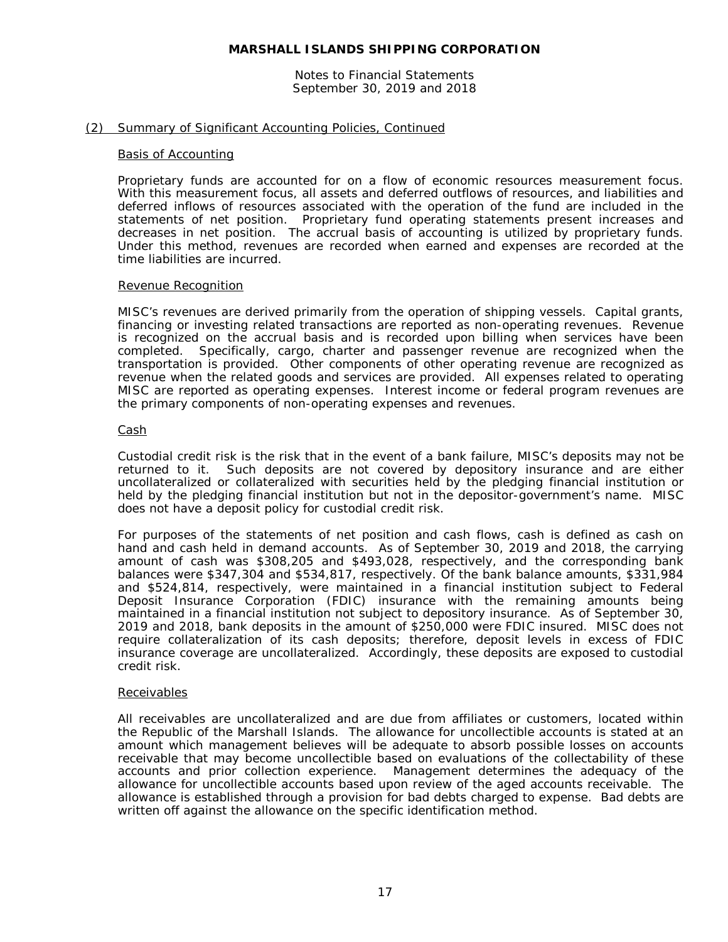Notes to Financial Statements September 30, 2019 and 2018

#### (2) Summary of Significant Accounting Policies, Continued

#### Basis of Accounting

Proprietary funds are accounted for on a flow of economic resources measurement focus. With this measurement focus, all assets and deferred outflows of resources, and liabilities and deferred inflows of resources associated with the operation of the fund are included in the statements of net position. Proprietary fund operating statements present increases and decreases in net position. The accrual basis of accounting is utilized by proprietary funds. Under this method, revenues are recorded when earned and expenses are recorded at the time liabilities are incurred.

#### Revenue Recognition

MISC's revenues are derived primarily from the operation of shipping vessels. Capital grants, financing or investing related transactions are reported as non-operating revenues. Revenue is recognized on the accrual basis and is recorded upon billing when services have been completed. Specifically, cargo, charter and passenger revenue are recognized when the transportation is provided. Other components of other operating revenue are recognized as revenue when the related goods and services are provided. All expenses related to operating MISC are reported as operating expenses. Interest income or federal program revenues are the primary components of non-operating expenses and revenues.

#### Cash

Custodial credit risk is the risk that in the event of a bank failure, MISC's deposits may not be returned to it. Such deposits are not covered by depository insurance and are either uncollateralized or collateralized with securities held by the pledging financial institution or held by the pledging financial institution but not in the depositor-government's name. MISC does not have a deposit policy for custodial credit risk.

For purposes of the statements of net position and cash flows, cash is defined as cash on hand and cash held in demand accounts. As of September 30, 2019 and 2018, the carrying amount of cash was \$308,205 and \$493,028, respectively, and the corresponding bank balances were \$347,304 and \$534,817, respectively. Of the bank balance amounts, \$331,984 and \$524,814, respectively, were maintained in a financial institution subject to Federal Deposit Insurance Corporation (FDIC) insurance with the remaining amounts being maintained in a financial institution not subject to depository insurance. As of September 30, 2019 and 2018, bank deposits in the amount of \$250,000 were FDIC insured. MISC does not require collateralization of its cash deposits; therefore, deposit levels in excess of FDIC insurance coverage are uncollateralized. Accordingly, these deposits are exposed to custodial credit risk.

#### Receivables

All receivables are uncollateralized and are due from affiliates or customers, located within the Republic of the Marshall Islands. The allowance for uncollectible accounts is stated at an amount which management believes will be adequate to absorb possible losses on accounts receivable that may become uncollectible based on evaluations of the collectability of these accounts and prior collection experience. Management determines the adequacy of the allowance for uncollectible accounts based upon review of the aged accounts receivable. The allowance is established through a provision for bad debts charged to expense. Bad debts are written off against the allowance on the specific identification method.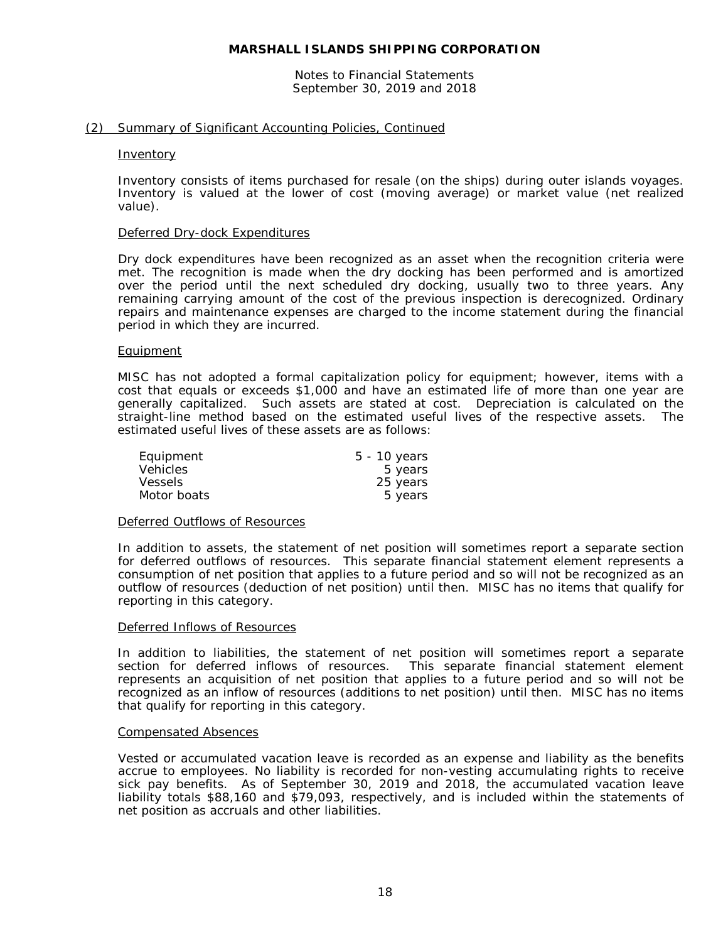Notes to Financial Statements September 30, 2019 and 2018

#### (2) Summary of Significant Accounting Policies, Continued

#### **Inventory**

Inventory consists of items purchased for resale (on the ships) during outer islands voyages. Inventory is valued at the lower of cost (moving average) or market value (net realized value).

#### Deferred Dry-dock Expenditures

Dry dock expenditures have been recognized as an asset when the recognition criteria were met. The recognition is made when the dry docking has been performed and is amortized over the period until the next scheduled dry docking, usually two to three years. Any remaining carrying amount of the cost of the previous inspection is derecognized. Ordinary repairs and maintenance expenses are charged to the income statement during the financial period in which they are incurred.

#### Equipment

MISC has not adopted a formal capitalization policy for equipment; however, items with a cost that equals or exceeds \$1,000 and have an estimated life of more than one year are generally capitalized. Such assets are stated at cost. Depreciation is calculated on the straight-line method based on the estimated useful lives of the respective assets. The estimated useful lives of these assets are as follows:

| Equipment       | $5 - 10$ years |
|-----------------|----------------|
| <b>Vehicles</b> | 5 years        |
| <b>Vessels</b>  | 25 years       |
| Motor boats     | 5 years        |

#### Deferred Outflows of Resources

In addition to assets, the statement of net position will sometimes report a separate section for deferred outflows of resources. This separate financial statement element represents a consumption of net position that applies to a future period and so will not be recognized as an outflow of resources (deduction of net position) until then. MISC has no items that qualify for reporting in this category.

#### Deferred Inflows of Resources

In addition to liabilities, the statement of net position will sometimes report a separate section for deferred inflows of resources. This separate financial statement element represents an acquisition of net position that applies to a future period and so will not be recognized as an inflow of resources (additions to net position) until then. MISC has no items that qualify for reporting in this category.

#### Compensated Absences

Vested or accumulated vacation leave is recorded as an expense and liability as the benefits accrue to employees. No liability is recorded for non-vesting accumulating rights to receive sick pay benefits. As of September 30, 2019 and 2018, the accumulated vacation leave liability totals \$88,160 and \$79,093, respectively, and is included within the statements of net position as accruals and other liabilities.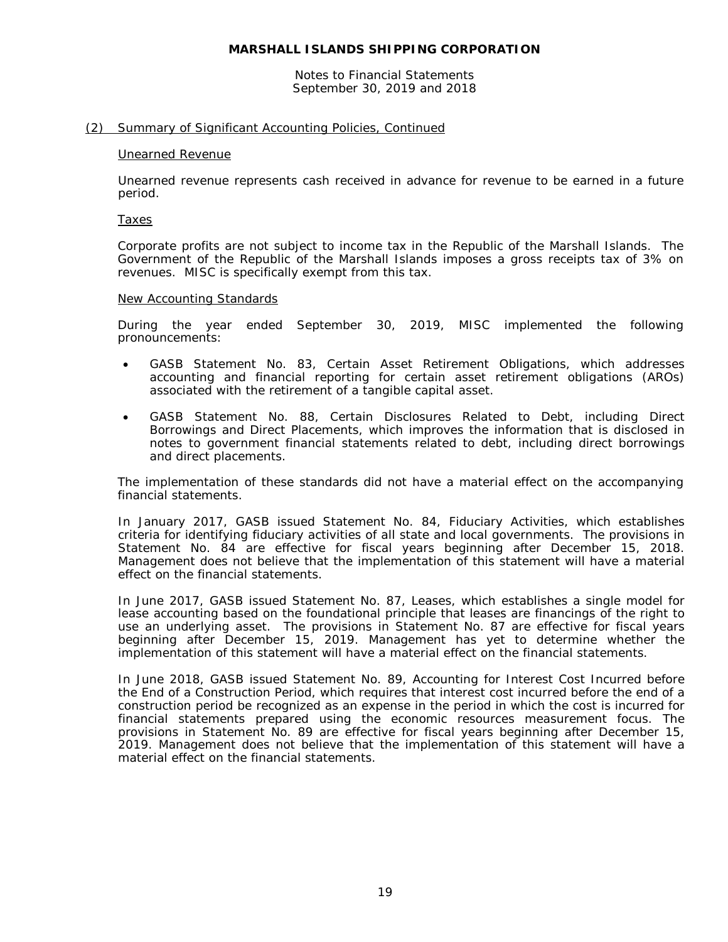Notes to Financial Statements September 30, 2019 and 2018

#### (2) Summary of Significant Accounting Policies, Continued

#### Unearned Revenue

Unearned revenue represents cash received in advance for revenue to be earned in a future period.

#### Taxes

Corporate profits are not subject to income tax in the Republic of the Marshall Islands. The Government of the Republic of the Marshall Islands imposes a gross receipts tax of 3% on revenues. MISC is specifically exempt from this tax.

#### New Accounting Standards

During the year ended September 30, 2019, MISC implemented the following pronouncements:

- GASB Statement No. 83, *Certain Asset Retirement Obligations*, which addresses accounting and financial reporting for certain asset retirement obligations (AROs) associated with the retirement of a tangible capital asset.
- GASB Statement No. 88, *Certain Disclosures Related to Debt, including Direct Borrowings and Direct Placements*, which improves the information that is disclosed in notes to government financial statements related to debt, including direct borrowings and direct placements.

The implementation of these standards did not have a material effect on the accompanying financial statements.

In January 2017, GASB issued Statement No. 84, *Fiduciary Activities*, which establishes criteria for identifying fiduciary activities of all state and local governments. The provisions in Statement No. 84 are effective for fiscal years beginning after December 15, 2018. Management does not believe that the implementation of this statement will have a material effect on the financial statements.

In June 2017, GASB issued Statement No. 87, *Leases*, which establishes a single model for lease accounting based on the foundational principle that leases are financings of the right to use an underlying asset. The provisions in Statement No. 87 are effective for fiscal years beginning after December 15, 2019. Management has yet to determine whether the implementation of this statement will have a material effect on the financial statements.

In June 2018, GASB issued Statement No. 89, *Accounting for Interest Cost Incurred before the End of a Construction Period*, which requires that interest cost incurred before the end of a construction period be recognized as an expense in the period in which the cost is incurred for financial statements prepared using the economic resources measurement focus. The provisions in Statement No. 89 are effective for fiscal years beginning after December 15, 2019. Management does not believe that the implementation of this statement will have a material effect on the financial statements.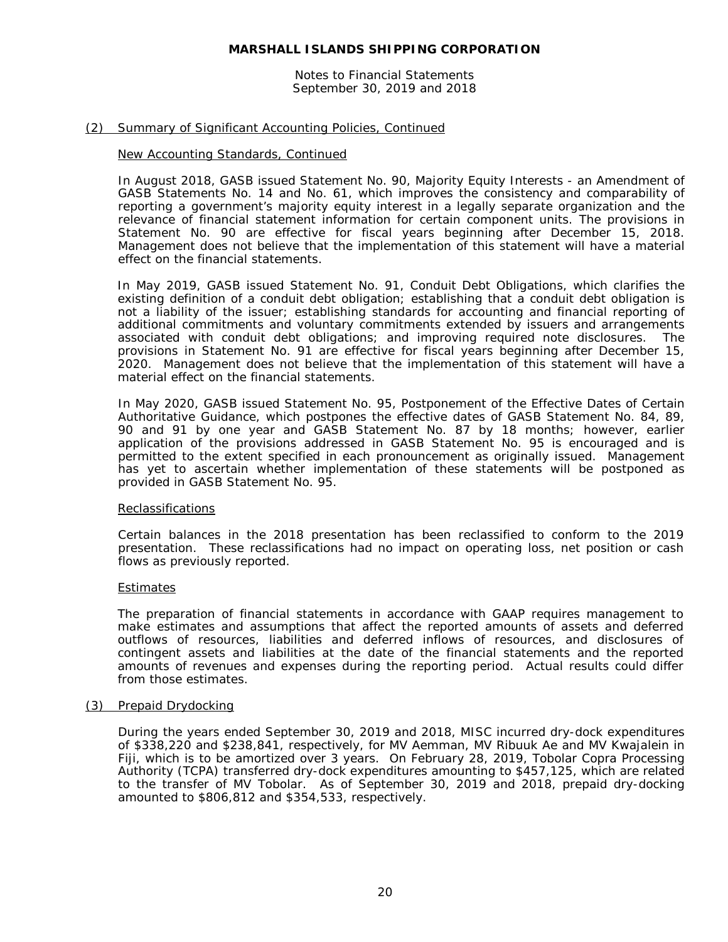Notes to Financial Statements September 30, 2019 and 2018

#### (2) Summary of Significant Accounting Policies, Continued

#### New Accounting Standards, Continued

In August 2018, GASB issued Statement No. 90, *Majority Equity Interests - an Amendment of GASB Statements No. 14 and No. 61*, which improves the consistency and comparability of reporting a government's majority equity interest in a legally separate organization and the relevance of financial statement information for certain component units. The provisions in Statement No. 90 are effective for fiscal years beginning after December 15, 2018. Management does not believe that the implementation of this statement will have a material effect on the financial statements.

In May 2019, GASB issued Statement No. 91, *Conduit Debt Obligations*, which clarifies the existing definition of a conduit debt obligation; establishing that a conduit debt obligation is not a liability of the issuer; establishing standards for accounting and financial reporting of additional commitments and voluntary commitments extended by issuers and arrangements associated with conduit debt obligations; and improving required note disclosures. The provisions in Statement No. 91 are effective for fiscal years beginning after December 15, 2020. Management does not believe that the implementation of this statement will have a material effect on the financial statements.

In May 2020, GASB issued Statement No. 95, *Postponement of the Effective Dates of Certain Authoritative Guidance*, which postpones the effective dates of GASB Statement No. 84, 89, 90 and 91 by one year and GASB Statement No. 87 by 18 months; however, earlier application of the provisions addressed in GASB Statement No. 95 is encouraged and is permitted to the extent specified in each pronouncement as originally issued. Management has yet to ascertain whether implementation of these statements will be postponed as provided in GASB Statement No. 95.

#### Reclassifications

Certain balances in the 2018 presentation has been reclassified to conform to the 2019 presentation. These reclassifications had no impact on operating loss, net position or cash flows as previously reported.

#### **Estimates**

The preparation of financial statements in accordance with GAAP requires management to make estimates and assumptions that affect the reported amounts of assets and deferred outflows of resources, liabilities and deferred inflows of resources, and disclosures of contingent assets and liabilities at the date of the financial statements and the reported amounts of revenues and expenses during the reporting period. Actual results could differ from those estimates.

#### (3) Prepaid Drydocking

During the years ended September 30, 2019 and 2018, MISC incurred dry-dock expenditures of \$338,220 and \$238,841, respectively, for MV Aemman, MV Ribuuk Ae and MV Kwajalein in Fiji, which is to be amortized over 3 years. On February 28, 2019, Tobolar Copra Processing Authority (TCPA) transferred dry-dock expenditures amounting to \$457,125, which are related to the transfer of MV Tobolar. As of September 30, 2019 and 2018, prepaid dry-docking amounted to \$806,812 and \$354,533, respectively.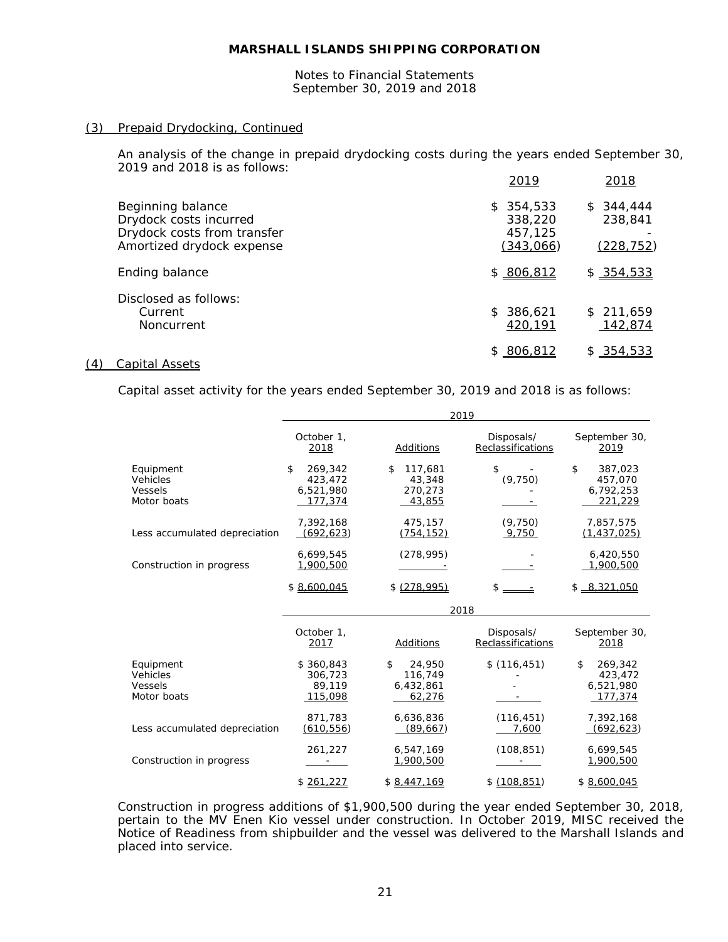Notes to Financial Statements September 30, 2019 and 2018

#### (3) Prepaid Drydocking, Continued

An analysis of the change in prepaid drydocking costs during the years ended September 30, 2019 and 2018 is as follows:

|                                                                                                         | 2019                                         | 2018                               |
|---------------------------------------------------------------------------------------------------------|----------------------------------------------|------------------------------------|
| Beginning balance<br>Drydock costs incurred<br>Drydock costs from transfer<br>Amortized drydock expense | \$354,533<br>338,220<br>457,125<br>(343,066) | \$344.444<br>238,841<br>(228, 752) |
| Ending balance                                                                                          | \$806,812                                    | \$354,533                          |
| Disclosed as follows:<br>Current<br>Noncurrent                                                          | \$386,621<br>420,191                         | \$211,659<br>142,874               |
|                                                                                                         | \$806,812                                    | \$354,533                          |

#### (4) Capital Assets

Capital asset activity for the years ended September 30, 2019 and 2018 is as follows:

|                                                 |                                                  |                                                | 2019                            |                                                  |
|-------------------------------------------------|--------------------------------------------------|------------------------------------------------|---------------------------------|--------------------------------------------------|
|                                                 | October 1,<br>2018                               | Additions                                      | Disposals/<br>Reclassifications | September 30,<br>2019                            |
| Equipment<br>Vehicles<br>Vessels<br>Motor boats | \$<br>269,342<br>423,472<br>6,521,980<br>177.374 | \$<br>117,681<br>43,348<br>270,273<br>43,855   | \$<br>(9, 750)                  | \$<br>387,023<br>457,070<br>6,792,253<br>221,229 |
| Less accumulated depreciation                   | 7,392,168<br>(692, 623)                          | 475,157<br>(754, 152)                          | (9,750)<br>9,750                | 7,857,575<br>(1, 437, 025)                       |
| Construction in progress                        | 6,699,545<br>1,900,500                           | (278, 995)                                     |                                 | 6,420,550<br>1,900,500                           |
|                                                 | \$8,600,045                                      | \$ (278.995)                                   | $s =$                           | $$ -8.321.050$                                   |
|                                                 |                                                  |                                                | 2018                            |                                                  |
|                                                 | October 1,<br>2017                               | Additions                                      | Disposals/<br>Reclassifications | September 30,<br>2018                            |
| Equipment<br>Vehicles<br>Vessels<br>Motor boats | \$360,843<br>306,723<br>89,119<br>115,098        | \$<br>24,950<br>116,749<br>6,432,861<br>62,276 | \$(116, 451)                    | \$<br>269,342<br>423,472<br>6,521,980<br>177,374 |
| Less accumulated depreciation                   | 871.783<br>(610, 556)                            | 6,636,836<br>(89, 667)                         | (116, 451)<br>7,600             | 7,392,168<br>(692, 623)                          |
| Construction in progress                        | 261,227                                          | 6,547,169<br>1,900,500                         | (108, 851)                      | 6,699,545<br>1,900,500                           |
|                                                 |                                                  |                                                |                                 |                                                  |

Construction in progress additions of \$1,900,500 during the year ended September 30, 2018, pertain to the MV Enen Kio vessel under construction. In October 2019, MISC received the Notice of Readiness from shipbuilder and the vessel was delivered to the Marshall Islands and placed into service.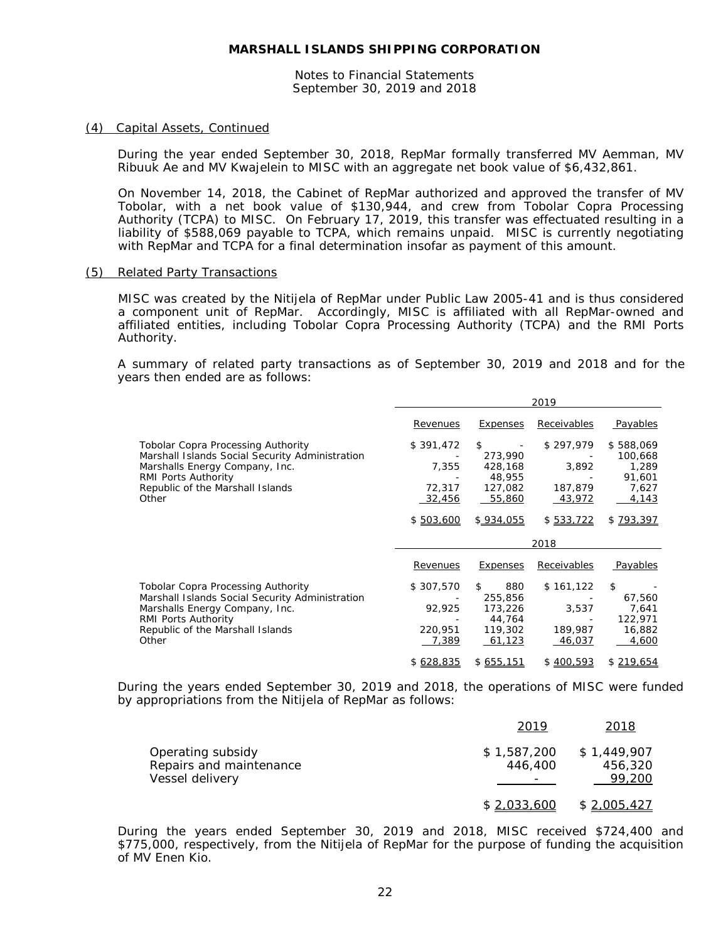Notes to Financial Statements September 30, 2019 and 2018

#### (4) Capital Assets, Continued

During the year ended September 30, 2018, RepMar formally transferred MV Aemman, MV Ribuuk Ae and MV Kwajelein to MISC with an aggregate net book value of \$6,432,861.

On November 14, 2018, the Cabinet of RepMar authorized and approved the transfer of MV Tobolar, with a net book value of \$130,944, and crew from Tobolar Copra Processing Authority (TCPA) to MISC. On February 17, 2019, this transfer was effectuated resulting in a liability of \$588,069 payable to TCPA, which remains unpaid. MISC is currently negotiating with RepMar and TCPA for a final determination insofar as payment of this amount.

#### (5) Related Party Transactions

MISC was created by the Nitijela of RepMar under Public Law 2005-41 and is thus considered a component unit of RepMar. Accordingly, MISC is affiliated with all RepMar-owned and affiliated entities, including Tobolar Copra Processing Authority (TCPA) and the RMI Ports Authority.

A summary of related party transactions as of September 30, 2019 and 2018 and for the years then ended are as follows:

|                                                                                                                                                                                                           |                                                     |                                                                      | 2019                                                 |                                                                        |
|-----------------------------------------------------------------------------------------------------------------------------------------------------------------------------------------------------------|-----------------------------------------------------|----------------------------------------------------------------------|------------------------------------------------------|------------------------------------------------------------------------|
|                                                                                                                                                                                                           | Revenues                                            | Expenses                                                             | Receivables                                          | Payables                                                               |
| <b>Tobolar Copra Processing Authority</b><br>Marshall Islands Social Security Administration<br>Marshalls Energy Company, Inc.<br><b>RMI Ports Authority</b><br>Republic of the Marshall Islands<br>Other | \$391,472<br>7,355<br>72,317<br>32,456<br>\$503,600 | \$<br>273,990<br>428,168<br>48,955<br>127,082<br>55,860<br>\$934.055 | \$297,979<br>3,892<br>187,879<br>43,972<br>\$533,722 | \$588,069<br>100,668<br>1,289<br>91,601<br>7,627<br>4,143<br>\$793,397 |
|                                                                                                                                                                                                           |                                                     |                                                                      |                                                      |                                                                        |
|                                                                                                                                                                                                           |                                                     |                                                                      | 2018                                                 |                                                                        |
|                                                                                                                                                                                                           | Revenues                                            | <b>Expenses</b>                                                      | Receivables                                          | Payables                                                               |
| <b>Tobolar Copra Processing Authority</b><br>Marshall Islands Social Security Administration<br>Marshalls Energy Company, Inc.<br>RMI Ports Authority<br>Republic of the Marshall Islands<br>Other        | \$307,570<br>92,925<br>220,951<br>7,389             | \$<br>880<br>255,856<br>173,226<br>44,764<br>119,302<br>61,123       | \$161,122<br>3,537<br>189,987<br>46,037              | \$<br>67,560<br>7,641<br>122,971<br>16,882<br>4,600                    |

During the years ended September 30, 2019 and 2018, the operations of MISC were funded by appropriations from the Nitijela of RepMar as follows:

|                                                                 | 2019                   | 2018                             |
|-----------------------------------------------------------------|------------------------|----------------------------------|
| Operating subsidy<br>Repairs and maintenance<br>Vessel delivery | \$1,587,200<br>446,400 | \$1,449,907<br>456,320<br>99,200 |
|                                                                 | \$2,033,600            | \$2,005,427                      |

During the years ended September 30, 2019 and 2018, MISC received \$724,400 and \$775,000, respectively, from the Nitijela of RepMar for the purpose of funding the acquisition of MV Enen Kio.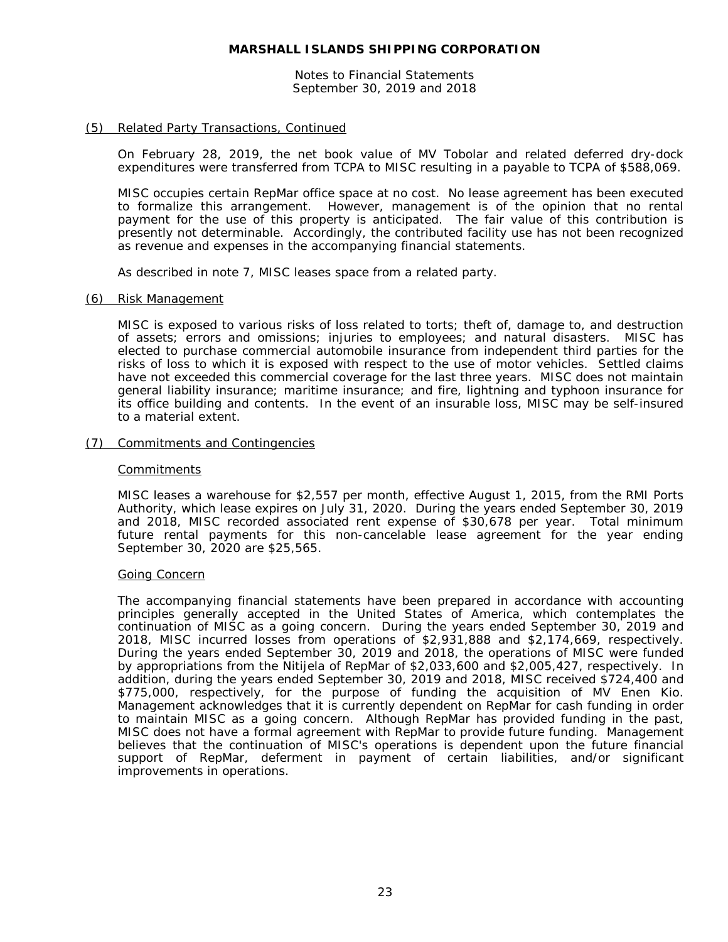Notes to Financial Statements September 30, 2019 and 2018

#### (5) Related Party Transactions, Continued

On February 28, 2019, the net book value of MV Tobolar and related deferred dry-dock expenditures were transferred from TCPA to MISC resulting in a payable to TCPA of \$588,069.

MISC occupies certain RepMar office space at no cost. No lease agreement has been executed to formalize this arrangement. However, management is of the opinion that no rental payment for the use of this property is anticipated. The fair value of this contribution is presently not determinable. Accordingly, the contributed facility use has not been recognized as revenue and expenses in the accompanying financial statements.

As described in note 7, MISC leases space from a related party.

#### (6) Risk Management

MISC is exposed to various risks of loss related to torts; theft of, damage to, and destruction of assets; errors and omissions; injuries to employees; and natural disasters. MISC has elected to purchase commercial automobile insurance from independent third parties for the risks of loss to which it is exposed with respect to the use of motor vehicles. Settled claims have not exceeded this commercial coverage for the last three years. MISC does not maintain general liability insurance; maritime insurance; and fire, lightning and typhoon insurance for its office building and contents. In the event of an insurable loss, MISC may be self-insured to a material extent.

#### (7) Commitments and Contingencies

#### **Commitments**

MISC leases a warehouse for \$2,557 per month, effective August 1, 2015, from the RMI Ports Authority, which lease expires on July 31, 2020. During the years ended September 30, 2019 and 2018, MISC recorded associated rent expense of \$30,678 per year. Total minimum future rental payments for this non-cancelable lease agreement for the year ending September 30, 2020 are \$25,565.

#### Going Concern

The accompanying financial statements have been prepared in accordance with accounting principles generally accepted in the United States of America, which contemplates the continuation of MISC as a going concern. During the years ended September 30, 2019 and 2018, MISC incurred losses from operations of \$2,931,888 and \$2,174,669, respectively. During the years ended September 30, 2019 and 2018, the operations of MISC were funded by appropriations from the Nitijela of RepMar of \$2,033,600 and \$2,005,427, respectively. In addition, during the years ended September 30, 2019 and 2018, MISC received \$724,400 and \$775,000, respectively, for the purpose of funding the acquisition of MV Enen Kio. Management acknowledges that it is currently dependent on RepMar for cash funding in order to maintain MISC as a going concern. Although RepMar has provided funding in the past, MISC does not have a formal agreement with RepMar to provide future funding. Management believes that the continuation of MISC's operations is dependent upon the future financial support of RepMar, deferment in payment of certain liabilities, and/or significant improvements in operations.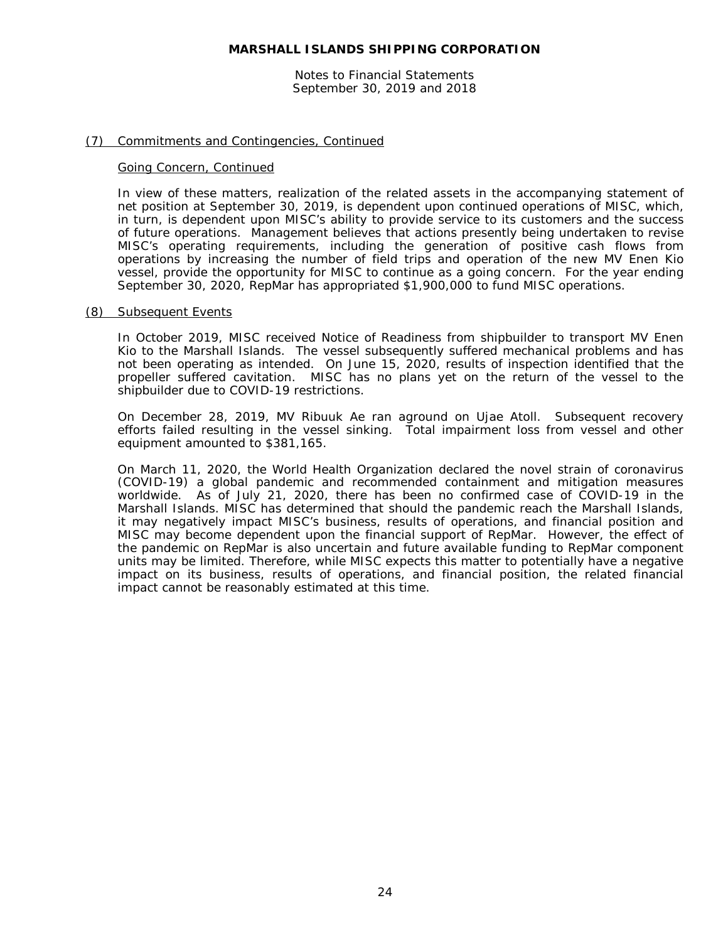Notes to Financial Statements September 30, 2019 and 2018

#### (7) Commitments and Contingencies, Continued

#### Going Concern, Continued

In view of these matters, realization of the related assets in the accompanying statement of net position at September 30, 2019, is dependent upon continued operations of MISC, which, in turn, is dependent upon MISC's ability to provide service to its customers and the success of future operations. Management believes that actions presently being undertaken to revise MISC's operating requirements, including the generation of positive cash flows from operations by increasing the number of field trips and operation of the new MV Enen Kio vessel, provide the opportunity for MISC to continue as a going concern. For the year ending September 30, 2020, RepMar has appropriated \$1,900,000 to fund MISC operations.

#### (8) Subsequent Events

In October 2019, MISC received Notice of Readiness from shipbuilder to transport MV Enen Kio to the Marshall Islands. The vessel subsequently suffered mechanical problems and has not been operating as intended. On June 15, 2020, results of inspection identified that the propeller suffered cavitation. MISC has no plans yet on the return of the vessel to the shipbuilder due to COVID-19 restrictions.

On December 28, 2019, MV Ribuuk Ae ran aground on Ujae Atoll. Subsequent recovery efforts failed resulting in the vessel sinking. Total impairment loss from vessel and other equipment amounted to \$381,165.

On March 11, 2020, the World Health Organization declared the novel strain of coronavirus (COVID-19) a global pandemic and recommended containment and mitigation measures worldwide. As of July 21, 2020, there has been no confirmed case of COVID-19 in the Marshall Islands. MISC has determined that should the pandemic reach the Marshall Islands, it may negatively impact MISC's business, results of operations, and financial position and MISC may become dependent upon the financial support of RepMar. However, the effect of the pandemic on RepMar is also uncertain and future available funding to RepMar component units may be limited. Therefore, while MISC expects this matter to potentially have a negative impact on its business, results of operations, and financial position, the related financial impact cannot be reasonably estimated at this time.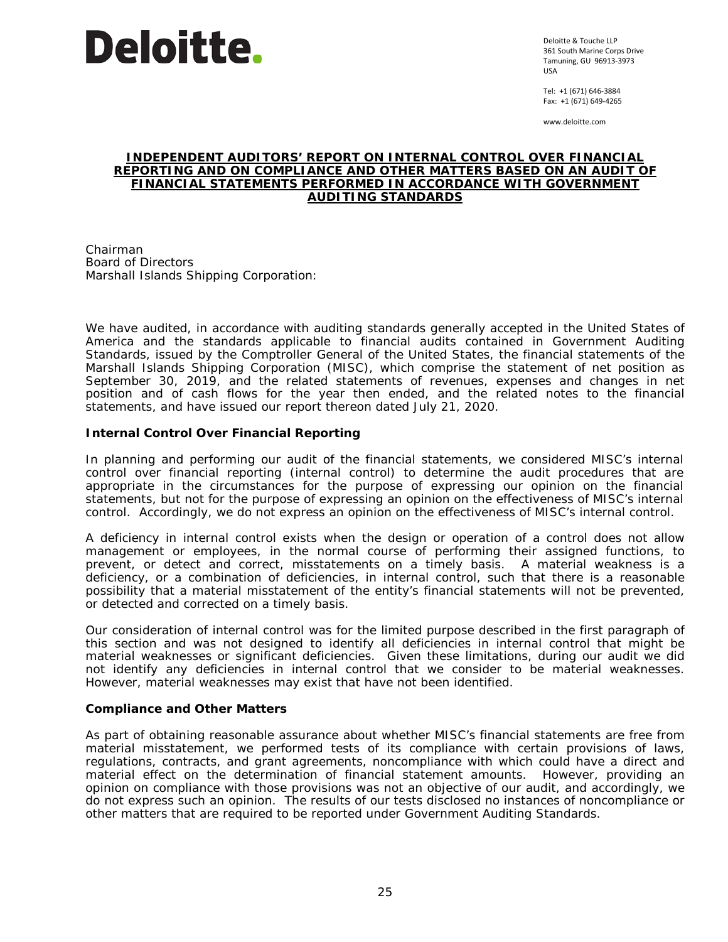

Deloitte & Touche LLP 361 South Marine Corps Drive Tamuning, GU 96913-3973 USA

Tel: +1 (671) 646-3884 Fax: +1 (671) 649-4265

www.deloitte.com

#### **INDEPENDENT AUDITORS' REPORT ON INTERNAL CONTROL OVER FINANCIAL REPORTING AND ON COMPLIANCE AND OTHER MATTERS BASED ON AN AUDIT OF FINANCIAL STATEMENTS PERFORMED IN ACCORDANCE WITH** *GOVERNMENT AUDITING STANDARDS*

Chairman Board of Directors Marshall Islands Shipping Corporation:

We have audited, in accordance with auditing standards generally accepted in the United States of America and the standards applicable to financial audits contained in *Government Auditing Standards,* issued by the Comptroller General of the United States, the financial statements of the Marshall Islands Shipping Corporation (MISC), which comprise the statement of net position as September 30, 2019, and the related statements of revenues, expenses and changes in net position and of cash flows for the year then ended, and the related notes to the financial statements, and have issued our report thereon dated July 21, 2020.

#### **Internal Control Over Financial Reporting**

In planning and performing our audit of the financial statements, we considered MISC's internal control over financial reporting (internal control) to determine the audit procedures that are appropriate in the circumstances for the purpose of expressing our opinion on the financial statements, but not for the purpose of expressing an opinion on the effectiveness of MISC's internal control. Accordingly, we do not express an opinion on the effectiveness of MISC's internal control.

A *deficiency in internal control* exists when the design or operation of a control does not allow management or employees, in the normal course of performing their assigned functions, to prevent, or detect and correct, misstatements on a timely basis. A *material weakness* is a deficiency, or a combination of deficiencies, in internal control, such that there is a reasonable possibility that a material misstatement of the entity's financial statements will not be prevented, or detected and corrected on a timely basis.

Our consideration of internal control was for the limited purpose described in the first paragraph of this section and was not designed to identify all deficiencies in internal control that might be material weaknesses or significant deficiencies. Given these limitations, during our audit we did not identify any deficiencies in internal control that we consider to be material weaknesses. However, material weaknesses may exist that have not been identified.

#### **Compliance and Other Matters**

As part of obtaining reasonable assurance about whether MISC's financial statements are free from material misstatement, we performed tests of its compliance with certain provisions of laws, regulations, contracts, and grant agreements, noncompliance with which could have a direct and material effect on the determination of financial statement amounts. However, providing an opinion on compliance with those provisions was not an objective of our audit, and accordingly, we do not express such an opinion. The results of our tests disclosed no instances of noncompliance or other matters that are required to be reported under *Government Auditing Standards*.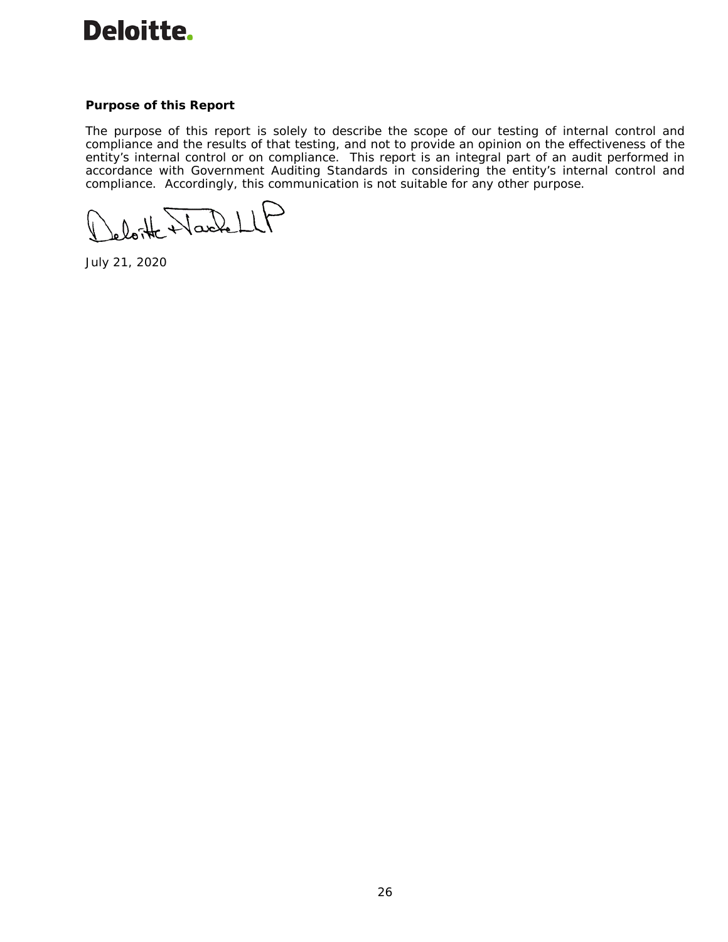

#### **Purpose of this Report**

The purpose of this report is solely to describe the scope of our testing of internal control and compliance and the results of that testing, and not to provide an opinion on the effectiveness of the entity's internal control or on compliance. This report is an integral part of an audit performed in accordance with *Government Auditing Standards* in considering the entity's internal control and compliance. Accordingly, this communication is not suitable for any other purpose.

loite Wackell

July 21, 2020